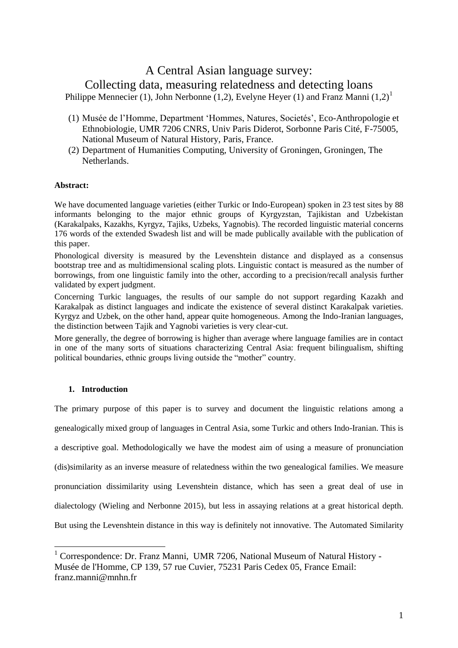# A Central Asian language survey:

# Collecting data, measuring relatedness and detecting loans

Philippe Mennecier (1), John Nerbonne (1,2), Evelyne Heyer (1) and Franz Manni  $(1,2)^1$ 

- (1) Musée de l'Homme, Department 'Hommes, Natures, Societés', Eco-Anthropologie et Ethnobiologie, UMR 7206 CNRS, Univ Paris Diderot, Sorbonne Paris Cité, F-75005, National Museum of Natural History, Paris, France.
- (2) Department of Humanities Computing, University of Groningen, Groningen, The Netherlands.

# **Abstract:**

We have documented language varieties (either Turkic or Indo-European) spoken in 23 test sites by 88 informants belonging to the major ethnic groups of Kyrgyzstan, Tajikistan and Uzbekistan (Karakalpaks, Kazakhs, Kyrgyz, Tajiks, Uzbeks, Yagnobis). The recorded linguistic material concerns 176 words of the extended Swadesh list and will be made publically available with the publication of this paper.

Phonological diversity is measured by the Levenshtein distance and displayed as a consensus bootstrap tree and as multidimensional scaling plots. Linguistic contact is measured as the number of borrowings, from one linguistic family into the other, according to a precision/recall analysis further validated by expert judgment.

Concerning Turkic languages, the results of our sample do not support regarding Kazakh and Karakalpak as distinct languages and indicate the existence of several distinct Karakalpak varieties. Kyrgyz and Uzbek, on the other hand, appear quite homogeneous. Among the Indo-Iranian languages, the distinction between Tajik and Yagnobi varieties is very clear-cut.

More generally, the degree of borrowing is higher than average where language families are in contact in one of the many sorts of situations characterizing Central Asia: frequent bilingualism, shifting political boundaries, ethnic groups living outside the "mother" country.

# **1. Introduction**

<u>.</u>

The primary purpose of this paper is to survey and document the linguistic relations among a genealogically mixed group of languages in Central Asia, some Turkic and others Indo-Iranian. This is a descriptive goal. Methodologically we have the modest aim of using a measure of pronunciation (dis)similarity as an inverse measure of relatedness within the two genealogical families. We measure pronunciation dissimilarity using Levenshtein distance, which has seen a great deal of use in dialectology (Wieling and Nerbonne 2015), but less in assaying relations at a great historical depth. But using the Levenshtein distance in this way is definitely not innovative. The Automated Similarity

<sup>&</sup>lt;sup>1</sup> Correspondence: Dr. Franz Manni, UMR 7206, National Museum of Natural History -Musée de l'Homme, CP 139, 57 rue Cuvier, 75231 Paris Cedex 05, France Email: franz.manni@mnhn.fr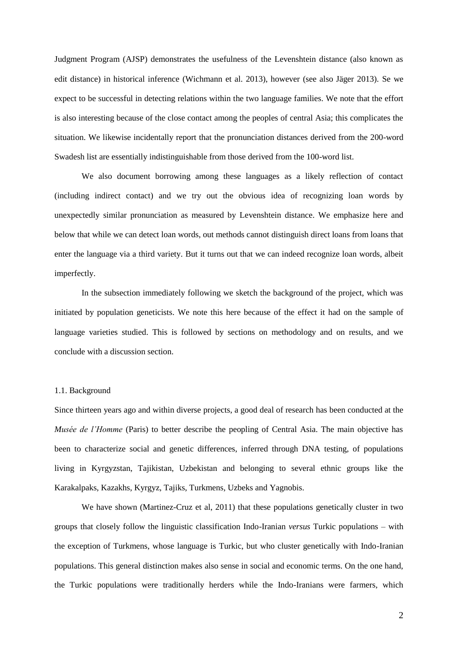Judgment Program (AJSP) demonstrates the usefulness of the Levenshtein distance (also known as edit distance) in historical inference (Wichmann et al. 2013), however (see also Jäger 2013). Se we expect to be successful in detecting relations within the two language families. We note that the effort is also interesting because of the close contact among the peoples of central Asia; this complicates the situation. We likewise incidentally report that the pronunciation distances derived from the 200-word Swadesh list are essentially indistinguishable from those derived from the 100-word list.

We also document borrowing among these languages as a likely reflection of contact (including indirect contact) and we try out the obvious idea of recognizing loan words by unexpectedly similar pronunciation as measured by Levenshtein distance. We emphasize here and below that while we can detect loan words, out methods cannot distinguish direct loans from loans that enter the language via a third variety. But it turns out that we can indeed recognize loan words, albeit imperfectly.

In the subsection immediately following we sketch the background of the project, which was initiated by population geneticists. We note this here because of the effect it had on the sample of language varieties studied. This is followed by sections on methodology and on results, and we conclude with a discussion section.

#### 1.1. Background

Since thirteen years ago and within diverse projects, a good deal of research has been conducted at the *Musée de l'Homme* (Paris) to better describe the peopling of Central Asia. The main objective has been to characterize social and genetic differences, inferred through DNA testing, of populations living in Kyrgyzstan, Tajikistan, Uzbekistan and belonging to several ethnic groups like the Karakalpaks, Kazakhs, Kyrgyz, Tajiks, Turkmens, Uzbeks and Yagnobis.

We have shown (Martinez-Cruz et al, 2011) that these populations genetically cluster in two groups that closely follow the linguistic classification Indo-Iranian *versus* Turkic populations – with the exception of Turkmens, whose language is Turkic, but who cluster genetically with Indo-Iranian populations. This general distinction makes also sense in social and economic terms. On the one hand, the Turkic populations were traditionally herders while the Indo-Iranians were farmers, which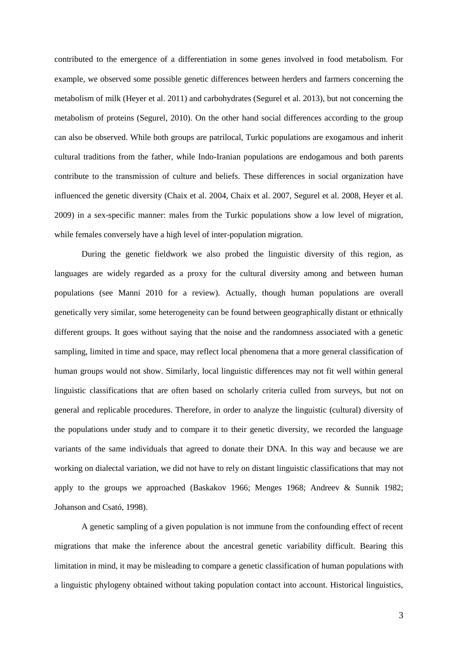contributed to the emergence of a differentiation in some genes involved in food metabolism. For example, we observed some possible genetic differences between herders and farmers concerning the metabolism of milk (Heyer et al. 2011) and carbohydrates (Segurel et al. 2013), but not concerning the metabolism of proteins (Segurel, 2010). On the other hand social differences according to the group can also be observed. While both groups are patrilocal, Turkic populations are exogamous and inherit cultural traditions from the father, while Indo-Iranian populations are endogamous and both parents contribute to the transmission of culture and beliefs. These differences in social organization have influenced the genetic diversity (Chaix et al. 2004, Chaix et al. 2007, Segurel et al. 2008, Heyer et al. 2009) in a sex-specific manner: males from the Turkic populations show a low level of migration, while females conversely have a high level of inter-population migration.

During the genetic fieldwork we also probed the linguistic diversity of this region, as languages are widely regarded as a proxy for the cultural diversity among and between human populations (see Manni 2010 for a review). Actually, though human populations are overall genetically very similar, some heterogeneity can be found between geographically distant or ethnically different groups. It goes without saying that the noise and the randomness associated with a genetic sampling, limited in time and space, may reflect local phenomena that a more general classification of human groups would not show. Similarly, local linguistic differences may not fit well within general linguistic classifications that are often based on scholarly criteria culled from surveys, but not on general and replicable procedures. Therefore, in order to analyze the linguistic (cultural) diversity of the populations under study and to compare it to their genetic diversity, we recorded the language variants of the same individuals that agreed to donate their DNA. In this way and because we are working on dialectal variation, we did not have to rely on distant linguistic classifications that may not apply to the groups we approached (Baskakov 1966; Menges 1968; Andreev & Sunnik 1982; Johanson and Csató, 1998).

A genetic sampling of a given population is not immune from the confounding effect of recent migrations that make the inference about the ancestral genetic variability difficult. Bearing this limitation in mind, it may be misleading to compare a genetic classification of human populations with a linguistic phylogeny obtained without taking population contact into account. Historical linguistics,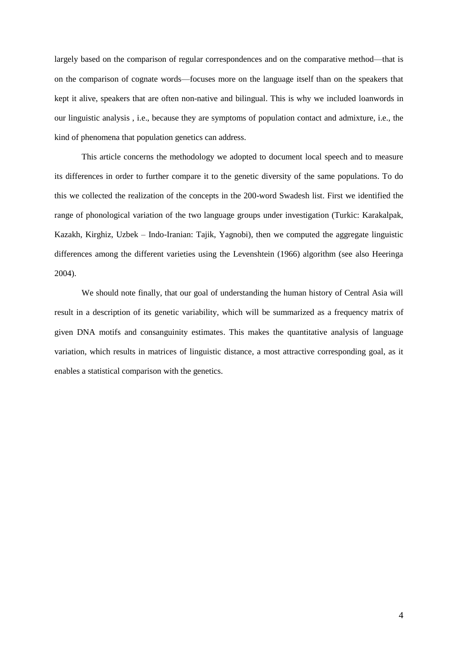largely based on the comparison of regular correspondences and on the comparative method—that is on the comparison of cognate words—focuses more on the language itself than on the speakers that kept it alive, speakers that are often non-native and bilingual. This is why we included loanwords in our linguistic analysis , i.e., because they are symptoms of population contact and admixture, i.e., the kind of phenomena that population genetics can address.

This article concerns the methodology we adopted to document local speech and to measure its differences in order to further compare it to the genetic diversity of the same populations. To do this we collected the realization of the concepts in the 200-word Swadesh list. First we identified the range of phonological variation of the two language groups under investigation (Turkic: Karakalpak, Kazakh, Kirghiz, Uzbek – Indo-Iranian: Tajik, Yagnobi), then we computed the aggregate linguistic differences among the different varieties using the Levenshtein (1966) algorithm (see also Heeringa 2004).

We should note finally, that our goal of understanding the human history of Central Asia will result in a description of its genetic variability, which will be summarized as a frequency matrix of given DNA motifs and consanguinity estimates. This makes the quantitative analysis of language variation, which results in matrices of linguistic distance, a most attractive corresponding goal, as it enables a statistical comparison with the genetics.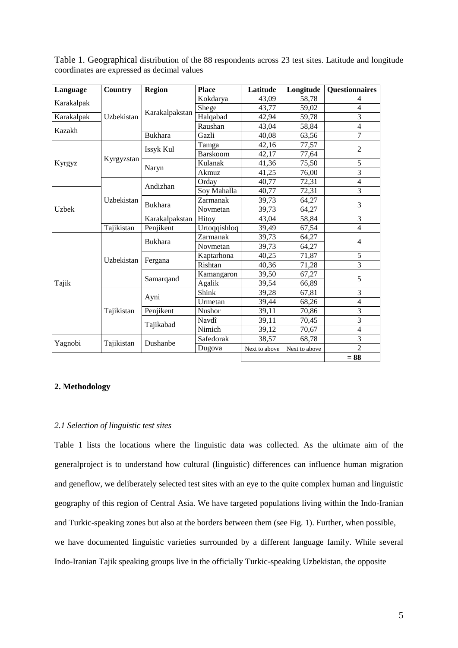| Language     | Country    | <b>Region</b>  | <b>Place</b>    | Latitude      | Longitude     | <b>Questionnaires</b>   |  |
|--------------|------------|----------------|-----------------|---------------|---------------|-------------------------|--|
| Karakalpak   | Uzbekistan | Karakalpakstan | Kokdarya        | 43,09         | 58,78         | 4                       |  |
|              |            |                | Shege           | 43,77         | 59,02         | 4                       |  |
| Karakalpak   |            |                | Halqabad        | 42,94         | 59,78         | 3                       |  |
| Kazakh       |            |                | Raushan         | 43,04         | 58,84         | 4                       |  |
|              |            | <b>Bukhara</b> | Gazli           | 40,08         | 63,56         | 7                       |  |
|              | Kyrgyzstan | Issyk Kul      | Tamga           | 42,16         | 77,57         | $\overline{c}$          |  |
|              |            |                | <b>Barskoom</b> | 42,17         | 77,64         |                         |  |
| Kyrgyz       |            | Naryn          | Kulanak         | 41,36         | 75,50         | 5                       |  |
|              |            |                | Akmuz           | 41,25         | 76,00         | 3                       |  |
|              | Uzbekistan | Andizhan       | Orday           | 40,77         | 72,31         | $\overline{4}$          |  |
|              |            |                | Soy Mahalla     | 40,77         | 72,31         | 3                       |  |
| <b>Uzbek</b> |            | <b>Bukhara</b> | Zarmanak        | 39,73         | 64,27         | 3                       |  |
|              |            |                | Novmetan        | 39,73         | 64,27         |                         |  |
|              |            | Karakalpakstan | Hitoy           | 43,04         | 58,84         | 3                       |  |
|              | Tajikistan | Penjikent      | Urtoqqishloq    | 39,49         | 67,54         | $\overline{4}$          |  |
|              | Uzbekistan | <b>Bukhara</b> | Zarmanak        | 39,73         | 64,27         | 4                       |  |
|              |            |                | Novmetan        | 39,73         | 64,27         |                         |  |
|              |            | Fergana        | Kaptarhona      | 40,25         | 71,87         | 5                       |  |
|              |            |                | Rishtan         | 40,36         | 71,28         | 3                       |  |
|              |            | Samarqand      | Kamangaron      | 39,50         | 67,27         |                         |  |
| Tajik        |            |                | Agalik          | 39,54         | 66,89         | 5                       |  |
|              | Tajikistan | Ayni           | Shink           | 39,28         | 67,81         | 3                       |  |
|              |            |                | Urmetan         | 39,44         | 68,26         | $\overline{\mathbf{4}}$ |  |
|              |            | Penjikent      | Nushor          | 39,11         | 70,86         | $\overline{\mathbf{3}}$ |  |
|              |            | Tajikabad      | Navdî           | 39,11         | 70,45         | 3                       |  |
|              |            |                | Nimich          | 39,12         | 70,67         | $\overline{4}$          |  |
|              | Tajikistan | Dushanbe       | Safedorak       | 38,57         | 68,78         | $\overline{3}$          |  |
| Yagnobi      |            |                | Dugova          | Next to above | Next to above | $\overline{2}$          |  |
|              |            |                |                 |               |               | $= 88$                  |  |

Table 1. Geographical distribution of the 88 respondents across 23 test sites. Latitude and longitude coordinates are expressed as decimal values

# **2. Methodology**

# *2.1 Selection of linguistic test sites*

Table 1 lists the locations where the linguistic data was collected. As the ultimate aim of the generalproject is to understand how cultural (linguistic) differences can influence human migration and geneflow, we deliberately selected test sites with an eye to the quite complex human and linguistic geography of this region of Central Asia. We have targeted populations living within the Indo-Iranian and Turkic-speaking zones but also at the borders between them (see Fig. 1). Further, when possible, we have documented linguistic varieties surrounded by a different language family. While several Indo-Iranian Tajik speaking groups live in the officially Turkic-speaking Uzbekistan, the opposite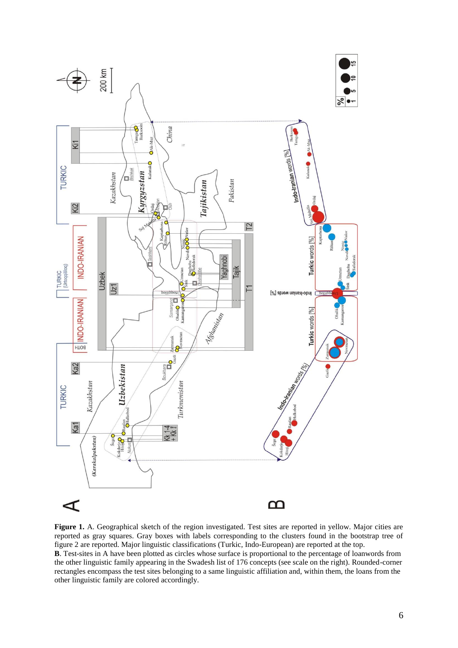

**Figure 1.** A. Geographical sketch of the region investigated. Test sites are reported in yellow. Major cities are reported as gray squares. Gray boxes with labels corresponding to the clusters found in the bootstrap tree of figure 2 are reported. Major linguistic classifications (Turkic, Indo-European) are reported at the top. **B**. Test-sites in A have been plotted as circles whose surface is proportional to the percentage of loanwords from the other linguistic family appearing in the Swadesh list of 176 concepts (see scale on the right). Rounded-corner rectangles encompass the test sites belonging to a same linguistic affiliation and, within them, the loans from the other linguistic family are colored accordingly.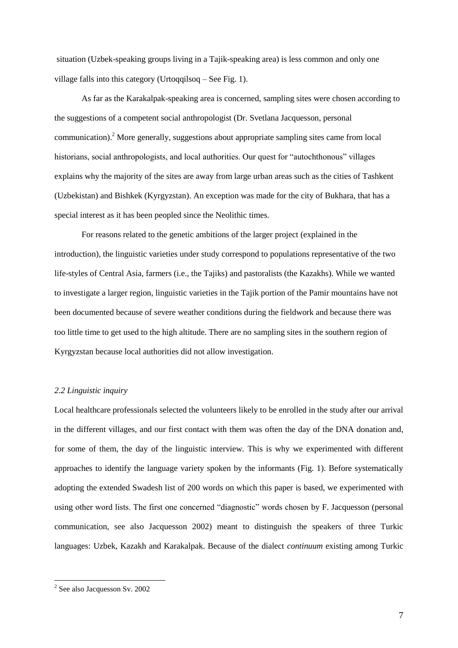situation (Uzbek-speaking groups living in a Tajik-speaking area) is less common and only one village falls into this category (Urtoqqilsoq – See Fig. 1).

As far as the Karakalpak-speaking area is concerned, sampling sites were chosen according to the suggestions of a competent social anthropologist (Dr. Svetlana Jacquesson, personal communication).<sup>2</sup> More generally, suggestions about appropriate sampling sites came from local historians, social anthropologists, and local authorities. Our quest for "autochthonous" villages explains why the majority of the sites are away from large urban areas such as the cities of Tashkent (Uzbekistan) and Bishkek (Kyrgyzstan). An exception was made for the city of Bukhara, that has a special interest as it has been peopled since the Neolithic times.

For reasons related to the genetic ambitions of the larger project (explained in the introduction), the linguistic varieties under study correspond to populations representative of the two life-styles of Central Asia, farmers (i.e., the Tajiks) and pastoralists (the Kazakhs). While we wanted to investigate a larger region, linguistic varieties in the Tajik portion of the Pamir mountains have not been documented because of severe weather conditions during the fieldwork and because there was too little time to get used to the high altitude. There are no sampling sites in the southern region of Kyrgyzstan because local authorities did not allow investigation.

# *2.2 Linguistic inquiry*

Local healthcare professionals selected the volunteers likely to be enrolled in the study after our arrival in the different villages, and our first contact with them was often the day of the DNA donation and, for some of them, the day of the linguistic interview. This is why we experimented with different approaches to identify the language variety spoken by the informants (Fig. 1). Before systematically adopting the extended Swadesh list of 200 words on which this paper is based, we experimented with using other word lists. The first one concerned "diagnostic" words chosen by F. Jacquesson (personal communication, see also Jacquesson 2002) meant to distinguish the speakers of three Turkic languages: Uzbek, Kazakh and Karakalpak. Because of the dialect *continuum* existing among Turkic

1

<sup>&</sup>lt;sup>2</sup> See also Jacquesson Sv. 2002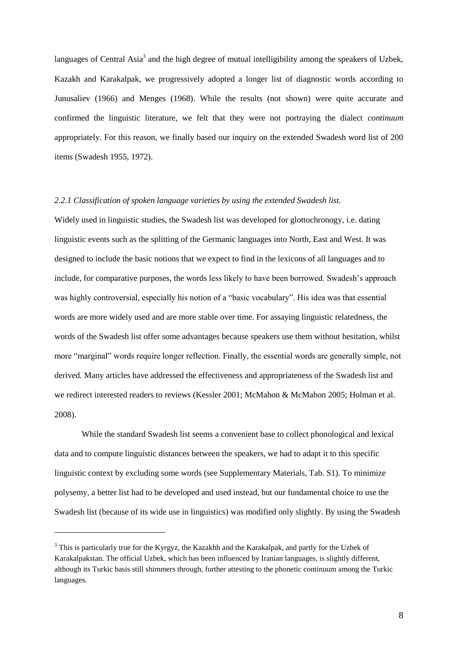languages of Central Asia<sup>3</sup> and the high degree of mutual intelligibility among the speakers of Uzbek, Kazakh and Karakalpak, we progressively adopted a longer list of diagnostic words according to Junusaliev (1966) and Menges (1968). While the results (not shown) were quite accurate and confirmed the linguistic literature, we felt that they were not portraying the dialect *continuum* appropriately. For this reason, we finally based our inquiry on the extended Swadesh word list of 200 items (Swadesh 1955, 1972).

# *2.2.1 Classification of spoken language varieties by using the extended Swadesh list.*

Widely used in linguistic studies, the Swadesh list was developed for glottochronogy, i.e. dating linguistic events such as the splitting of the Germanic languages into North, East and West. It was designed to include the basic notions that we expect to find in the lexicons of all languages and to include, for comparative purposes, the words less likely to have been borrowed. Swadesh's approach was highly controversial, especially his notion of a "basic vocabulary". His idea was that essential words are more widely used and are more stable over time. For assaying linguistic relatedness, the words of the Swadesh list offer some advantages because speakers use them without hesitation, whilst more "marginal" words require longer reflection. Finally, the essential words are generally simple, not derived. Many articles have addressed the effectiveness and appropriateness of the Swadesh list and we redirect interested readers to reviews (Kessler 2001; McMahon & McMahon 2005; Holman et al. 2008).

While the standard Swadesh list seems a convenient base to collect phonological and lexical data and to compute linguistic distances between the speakers, we had to adapt it to this specific linguistic context by excluding some words (see Supplementary Materials, Tab. S1). To minimize polysemy, a better list had to be developed and used instead, but our fundamental choice to use the Swadesh list (because of its wide use in linguistics) was modified only slightly. By using the Swadesh

1

<sup>&</sup>lt;sup>3</sup> This is particularly true for the Kyrgyz, the Kazakhh and the Karakalpak, and partly for the Uzbek of Karakalpakstan. The official Uzbek, which has been influenced by Iranian languages, is slightly different, although its Turkic basis still shimmers through, further attesting to the phonetic continuum among the Turkic languages.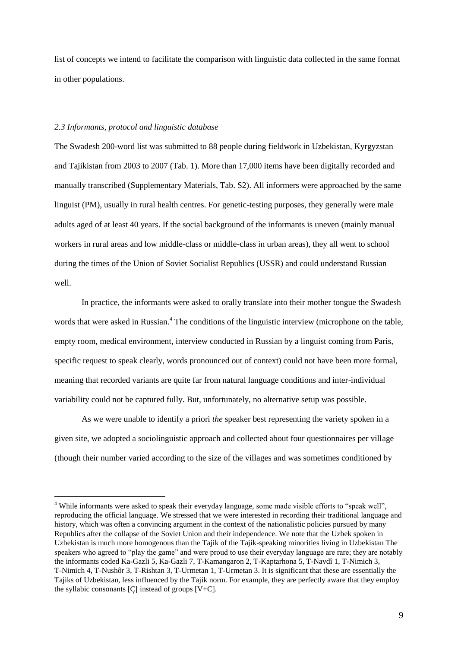list of concepts we intend to facilitate the comparison with linguistic data collected in the same format in other populations.

#### *2.3 Informants, protocol and linguistic database*

<u>.</u>

The Swadesh 200-word list was submitted to 88 people during fieldwork in Uzbekistan, Kyrgyzstan and Tajikistan from 2003 to 2007 (Tab. 1). More than 17,000 items have been digitally recorded and manually transcribed (Supplementary Materials, Tab. S2). All informers were approached by the same linguist (PM), usually in rural health centres. For genetic-testing purposes, they generally were male adults aged of at least 40 years. If the social background of the informants is uneven (mainly manual workers in rural areas and low middle-class or middle-class in urban areas), they all went to school during the times of the Union of Soviet Socialist Republics (USSR) and could understand Russian well.

In practice, the informants were asked to orally translate into their mother tongue the Swadesh words that were asked in Russian.<sup>4</sup> The conditions of the linguistic interview (microphone on the table, empty room, medical environment, interview conducted in Russian by a linguist coming from Paris, specific request to speak clearly, words pronounced out of context) could not have been more formal, meaning that recorded variants are quite far from natural language conditions and inter-individual variability could not be captured fully. But, unfortunately, no alternative setup was possible.

As we were unable to identify a priori *the* speaker best representing the variety spoken in a given site, we adopted a sociolinguistic approach and collected about four questionnaires per village (though their number varied according to the size of the villages and was sometimes conditioned by

<sup>&</sup>lt;sup>4</sup> While informants were asked to speak their everyday language, some made visible efforts to "speak well", reproducing the official language. We stressed that we were interested in recording their traditional language and history, which was often a convincing argument in the context of the nationalistic policies pursued by many Republics after the collapse of the Soviet Union and their independence. We note that the Uzbek spoken in Uzbekistan is much more homogenous than the Tajik of the Tajik-speaking minorities living in Uzbekistan The speakers who agreed to "play the game" and were proud to use their everyday language are rare; they are notably the informants coded Ka-Gazli 5, Ka-Gazli 7, T-Kamangaron 2, T-Kaptarhona 5, T-Navdî 1, T-Nimich 3, T-Nimich 4, T-Nushôr 3, T-Rishtan 3, T-Urmetan 1, T-Urmetan 3. It is significant that these are essentially the Tajiks of Uzbekistan, less influenced by the Tajik norm. For example, they are perfectly aware that they employ the syllabic consonants  $[Cl]$  instead of groups  $[V+C]$ .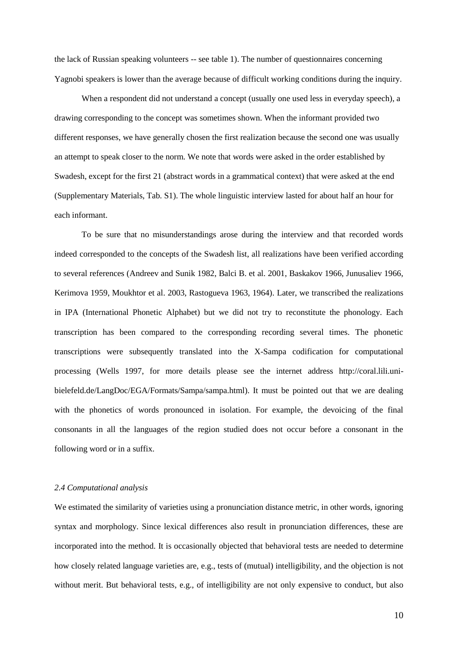the lack of Russian speaking volunteers -- see table 1). The number of questionnaires concerning Yagnobi speakers is lower than the average because of difficult working conditions during the inquiry.

When a respondent did not understand a concept (usually one used less in everyday speech), a drawing corresponding to the concept was sometimes shown. When the informant provided two different responses, we have generally chosen the first realization because the second one was usually an attempt to speak closer to the norm. We note that words were asked in the order established by Swadesh, except for the first 21 (abstract words in a grammatical context) that were asked at the end (Supplementary Materials, Tab. S1). The whole linguistic interview lasted for about half an hour for each informant.

To be sure that no misunderstandings arose during the interview and that recorded words indeed corresponded to the concepts of the Swadesh list, all realizations have been verified according to several references (Andreev and Sunik 1982, Balci B. et al. 2001, Baskakov 1966, Junusaliev 1966, Kerimova 1959, Moukhtor et al. 2003, Rastogueva 1963, 1964). Later, we transcribed the realizations in IPA (International Phonetic Alphabet) but we did not try to reconstitute the phonology. Each transcription has been compared to the corresponding recording several times. The phonetic transcriptions were subsequently translated into the X-Sampa codification for computational processing (Wells 1997, for more details please see the internet address http://coral.lili.unibielefeld.de/LangDoc/EGA/Formats/Sampa/sampa.html). It must be pointed out that we are dealing with the phonetics of words pronounced in isolation. For example, the devoicing of the final consonants in all the languages of the region studied does not occur before a consonant in the following word or in a suffix.

# *2.4 Computational analysis*

We estimated the similarity of varieties using a pronunciation distance metric, in other words, ignoring syntax and morphology. Since lexical differences also result in pronunciation differences, these are incorporated into the method. It is occasionally objected that behavioral tests are needed to determine how closely related language varieties are, e.g., tests of (mutual) intelligibility, and the objection is not without merit. But behavioral tests, e.g., of intelligibility are not only expensive to conduct, but also

10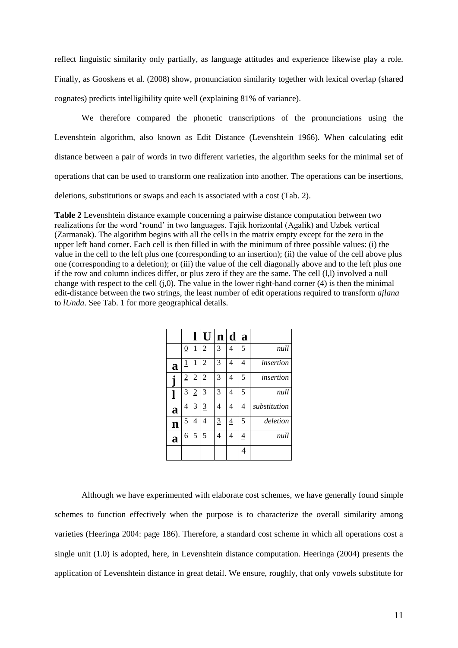reflect linguistic similarity only partially, as language attitudes and experience likewise play a role. Finally, as Gooskens et al. (2008) show, pronunciation similarity together with lexical overlap (shared cognates) predicts intelligibility quite well (explaining 81% of variance).

We therefore compared the phonetic transcriptions of the pronunciations using the Levenshtein algorithm, also known as Edit Distance (Levenshtein 1966). When calculating edit distance between a pair of words in two different varieties, the algorithm seeks for the minimal set of operations that can be used to transform one realization into another. The operations can be insertions, deletions, substitutions or swaps and each is associated with a cost (Tab. 2).

**Table 2** Levenshtein distance example concerning a pairwise distance computation between two realizations for the word 'round' in two languages. Tajik horizontal (Agalik) and Uzbek vertical (Zarmanak). The algorithm begins with all the cells in the matrix empty except for the zero in the upper left hand corner. Each cell is then filled in with the minimum of three possible values: (i) the value in the cell to the left plus one (corresponding to an insertion); (ii) the value of the cell above plus one (corresponding to a deletion); or (iii) the value of the cell diagonally above and to the left plus one if the row and column indices differ, or plus zero if they are the same. The cell (l,l) involved a null change with respect to the cell  $(i,0)$ . The value in the lower right-hand corner (4) is then the minimal edit-distance between the two strings, the least number of edit operations required to transform *ajlana* to *lUnda*. See Tab. 1 for more geographical details.

|   |                |                | U              | $\mathbf n$    | d              | a |              |
|---|----------------|----------------|----------------|----------------|----------------|---|--------------|
|   | $\overline{0}$ | 1              | $\overline{2}$ | 3              | 4              | 5 | null         |
| a | <u>1</u>       | 1              | $\overline{2}$ | 3              | 4              | 4 | insertion    |
|   | $\overline{2}$ | 2              | $\overline{2}$ | 3              | 4              | 5 | insertion    |
|   | 3              | $\overline{2}$ | 3              | 3              | 4              | 5 | null         |
| a | 4              | 3              | 3              | $\overline{4}$ | 4              | 4 | substitution |
| n | 5              | 4              | 4              | $\overline{3}$ | $\overline{4}$ | 5 | deletion     |
| a | 6              | 5              | 5              | $\overline{4}$ | 4              | 4 | null         |
|   |                |                |                |                |                | 4 |              |

Although we have experimented with elaborate cost schemes, we have generally found simple schemes to function effectively when the purpose is to characterize the overall similarity among varieties (Heeringa 2004: page 186). Therefore, a standard cost scheme in which all operations cost a single unit (1.0) is adopted, here, in Levenshtein distance computation. Heeringa (2004) presents the application of Levenshtein distance in great detail. We ensure, roughly, that only vowels substitute for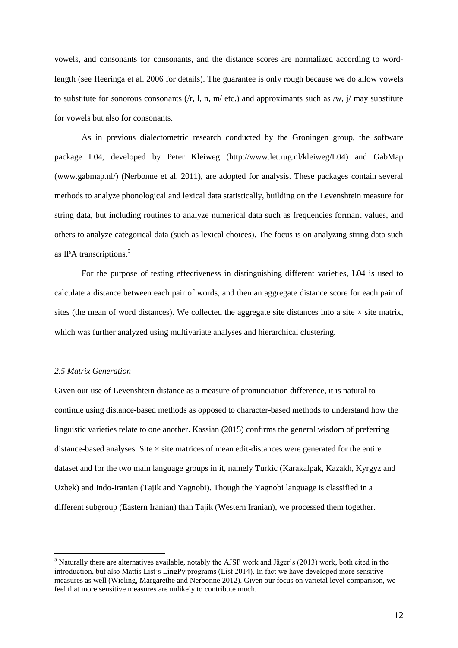vowels, and consonants for consonants, and the distance scores are normalized according to wordlength (see Heeringa et al. 2006 for details). The guarantee is only rough because we do allow vowels to substitute for sonorous consonants ( $/r$ , 1, n, m/ etc.) and approximants such as  $/w$ ,  $j/may$  substitute for vowels but also for consonants.

As in previous dialectometric research conducted by the Groningen group, the software package L04, developed by Peter Kleiweg (http://www.let.rug.nl/kleiweg/L04) and GabMap (www.gabmap.nl/) (Nerbonne et al. 2011), are adopted for analysis. These packages contain several methods to analyze phonological and lexical data statistically, building on the Levenshtein measure for string data, but including routines to analyze numerical data such as frequencies formant values, and others to analyze categorical data (such as lexical choices). The focus is on analyzing string data such as IPA transcriptions.<sup>5</sup>

For the purpose of testing effectiveness in distinguishing different varieties, L04 is used to calculate a distance between each pair of words, and then an aggregate distance score for each pair of sites (the mean of word distances). We collected the aggregate site distances into a site  $\times$  site matrix, which was further analyzed using multivariate analyses and hierarchical clustering.

#### *2.5 Matrix Generation*

1

Given our use of Levenshtein distance as a measure of pronunciation difference, it is natural to continue using distance-based methods as opposed to character-based methods to understand how the linguistic varieties relate to one another. Kassian (2015) confirms the general wisdom of preferring distance-based analyses. Site  $\times$  site matrices of mean edit-distances were generated for the entire dataset and for the two main language groups in it, namely Turkic (Karakalpak, Kazakh, Kyrgyz and Uzbek) and Indo-Iranian (Tajik and Yagnobi). Though the Yagnobi language is classified in a different subgroup (Eastern Iranian) than Tajik (Western Iranian), we processed them together.

<sup>5</sup> Naturally there are alternatives available, notably the AJSP work and Jäger's (2013) work, both cited in the introduction, but also Mattis List's LingPy programs (List 2014). In fact we have developed more sensitive measures as well (Wieling, Margarethe and Nerbonne 2012). Given our focus on varietal level comparison, we feel that more sensitive measures are unlikely to contribute much.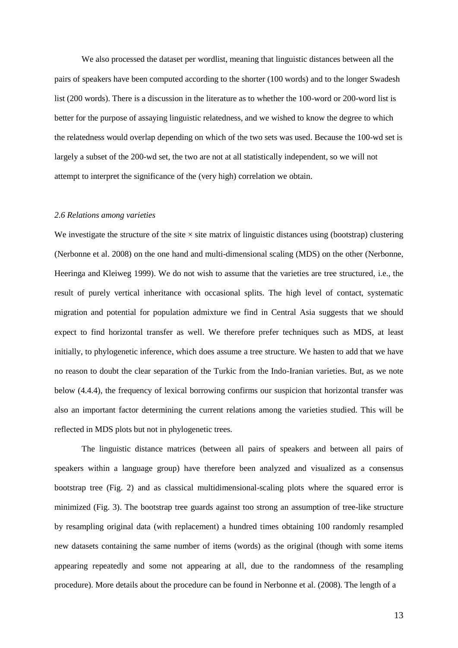We also processed the dataset per wordlist, meaning that linguistic distances between all the pairs of speakers have been computed according to the shorter (100 words) and to the longer Swadesh list (200 words). There is a discussion in the literature as to whether the 100-word or 200-word list is better for the purpose of assaying linguistic relatedness, and we wished to know the degree to which the relatedness would overlap depending on which of the two sets was used. Because the 100-wd set is largely a subset of the 200-wd set, the two are not at all statistically independent, so we will not attempt to interpret the significance of the (very high) correlation we obtain.

## *2.6 Relations among varieties*

We investigate the structure of the site  $\times$  site matrix of linguistic distances using (bootstrap) clustering (Nerbonne et al. 2008) on the one hand and multi-dimensional scaling (MDS) on the other (Nerbonne, Heeringa and Kleiweg 1999). We do not wish to assume that the varieties are tree structured, i.e., the result of purely vertical inheritance with occasional splits. The high level of contact, systematic migration and potential for population admixture we find in Central Asia suggests that we should expect to find horizontal transfer as well. We therefore prefer techniques such as MDS, at least initially, to phylogenetic inference, which does assume a tree structure. We hasten to add that we have no reason to doubt the clear separation of the Turkic from the Indo-Iranian varieties. But, as we note below (4.4.4), the frequency of lexical borrowing confirms our suspicion that horizontal transfer was also an important factor determining the current relations among the varieties studied. This will be reflected in MDS plots but not in phylogenetic trees.

The linguistic distance matrices (between all pairs of speakers and between all pairs of speakers within a language group) have therefore been analyzed and visualized as a consensus bootstrap tree (Fig. 2) and as classical multidimensional-scaling plots where the squared error is minimized (Fig. 3). The bootstrap tree guards against too strong an assumption of tree-like structure by resampling original data (with replacement) a hundred times obtaining 100 randomly resampled new datasets containing the same number of items (words) as the original (though with some items appearing repeatedly and some not appearing at all, due to the randomness of the resampling procedure). More details about the procedure can be found in Nerbonne et al. (2008). The length of a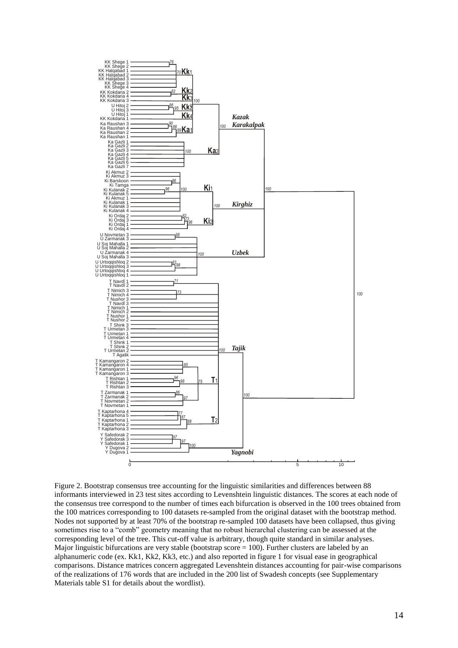

Figure 2. Bootstrap consensus tree accounting for the linguistic similarities and differences between 88 informants interviewed in 23 test sites according to Levenshtein linguistic distances. The scores at each node of the consensus tree correspond to the number of times each bifurcation is observed in the 100 trees obtained from the 100 matrices corresponding to 100 datasets re-sampled from the original dataset with the bootstrap method. Nodes not supported by at least 70% of the bootstrap re-sampled 100 datasets have been collapsed, thus giving sometimes rise to a "comb" geometry meaning that no robust hierarchal clustering can be assessed at the corresponding level of the tree. This cut-off value is arbitrary, though quite standard in similar analyses. Major linguistic bifurcations are very stable (bootstrap score  $= 100$ ). Further clusters are labeled by an alphanumeric code (ex. Kk1, Kk2, Kk3, etc.) and also reported in figure 1 for visual ease in geographical comparisons. Distance matrices concern aggregated Levenshtein distances accounting for pair-wise comparisons of the realizations of 176 words that are included in the 200 list of Swadesh concepts (see Supplementary Materials table S1 for details about the wordlist).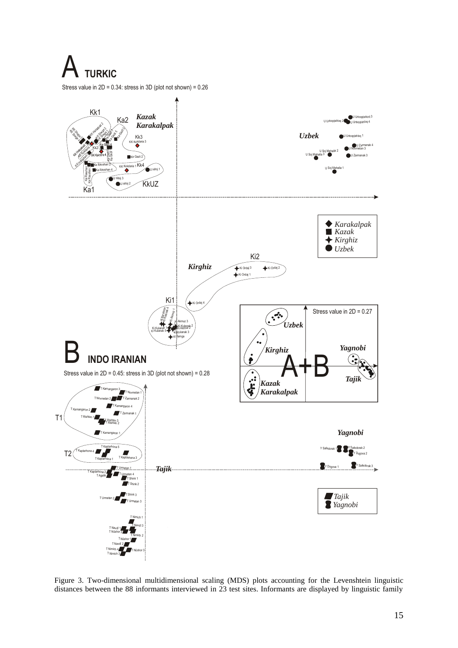**TURKIC** 



Figure 3. Two-dimensional multidimensional scaling (MDS) plots accounting for the Levenshtein linguistic distances between the 88 informants interviewed in 23 test sites. Informants are displayed by linguistic family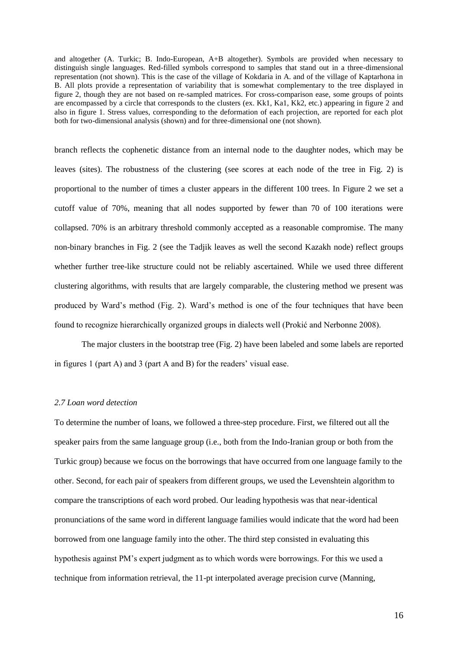and altogether (A. Turkic; B. Indo-European, A+B altogether). Symbols are provided when necessary to distinguish single languages. Red-filled symbols correspond to samples that stand out in a three-dimensional representation (not shown). This is the case of the village of Kokdaria in A. and of the village of Kaptarhona in B. All plots provide a representation of variability that is somewhat complementary to the tree displayed in figure 2, though they are not based on re-sampled matrices. For cross-comparison ease, some groups of points are encompassed by a circle that corresponds to the clusters (ex. Kk1, Ka1, Kk2, etc.) appearing in figure 2 and also in figure 1. Stress values, corresponding to the deformation of each projection, are reported for each plot both for two-dimensional analysis (shown) and for three-dimensional one (not shown).

branch reflects the cophenetic distance from an internal node to the daughter nodes, which may be leaves (sites). The robustness of the clustering (see scores at each node of the tree in Fig. 2) is proportional to the number of times a cluster appears in the different 100 trees. In Figure 2 we set a cutoff value of 70%, meaning that all nodes supported by fewer than 70 of 100 iterations were collapsed. 70% is an arbitrary threshold commonly accepted as a reasonable compromise. The many non-binary branches in Fig. 2 (see the Tadjik leaves as well the second Kazakh node) reflect groups whether further tree-like structure could not be reliably ascertained. While we used three different clustering algorithms, with results that are largely comparable, the clustering method we present was produced by Ward's method (Fig. 2). Ward's method is one of the four techniques that have been found to recognize hierarchically organized groups in dialects well (Prokić and Nerbonne 2008).

The major clusters in the bootstrap tree (Fig. 2) have been labeled and some labels are reported in figures 1 (part A) and 3 (part A and B) for the readers' visual ease.

# *2.7 Loan word detection*

To determine the number of loans, we followed a three-step procedure. First, we filtered out all the speaker pairs from the same language group (i.e., both from the Indo-Iranian group or both from the Turkic group) because we focus on the borrowings that have occurred from one language family to the other. Second, for each pair of speakers from different groups, we used the Levenshtein algorithm to compare the transcriptions of each word probed. Our leading hypothesis was that near-identical pronunciations of the same word in different language families would indicate that the word had been borrowed from one language family into the other. The third step consisted in evaluating this hypothesis against PM's expert judgment as to which words were borrowings. For this we used a technique from information retrieval, the 11-pt interpolated average precision curve (Manning,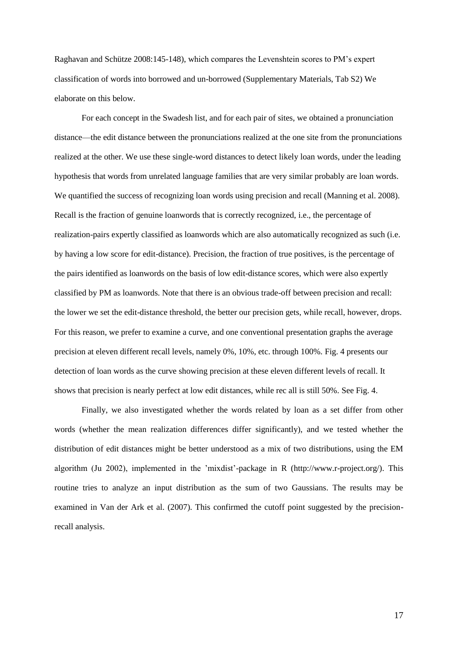Raghavan and Schütze 2008:145-148), which compares the Levenshtein scores to PM's expert classification of words into borrowed and un-borrowed (Supplementary Materials, Tab S2) We elaborate on this below.

For each concept in the Swadesh list, and for each pair of sites, we obtained a pronunciation distance—the edit distance between the pronunciations realized at the one site from the pronunciations realized at the other. We use these single-word distances to detect likely loan words, under the leading hypothesis that words from unrelated language families that are very similar probably are loan words. We quantified the success of recognizing loan words using precision and recall (Manning et al. 2008). Recall is the fraction of genuine loanwords that is correctly recognized, i.e., the percentage of realization-pairs expertly classified as loanwords which are also automatically recognized as such (i.e. by having a low score for edit-distance). Precision, the fraction of true positives, is the percentage of the pairs identified as loanwords on the basis of low edit-distance scores, which were also expertly classified by PM as loanwords. Note that there is an obvious trade-off between precision and recall: the lower we set the edit-distance threshold, the better our precision gets, while recall, however, drops. For this reason, we prefer to examine a curve, and one conventional presentation graphs the average precision at eleven different recall levels, namely 0%, 10%, etc. through 100%. Fig. 4 presents our detection of loan words as the curve showing precision at these eleven different levels of recall. It shows that precision is nearly perfect at low edit distances, while rec all is still 50%. See Fig. 4.

Finally, we also investigated whether the words related by loan as a set differ from other words (whether the mean realization differences differ significantly), and we tested whether the distribution of edit distances might be better understood as a mix of two distributions, using the EM algorithm (Ju 2002), implemented in the 'mixdist'-package in R (http://www.r-project.org/). This routine tries to analyze an input distribution as the sum of two Gaussians. The results may be examined in Van der Ark et al. (2007). This confirmed the cutoff point suggested by the precisionrecall analysis.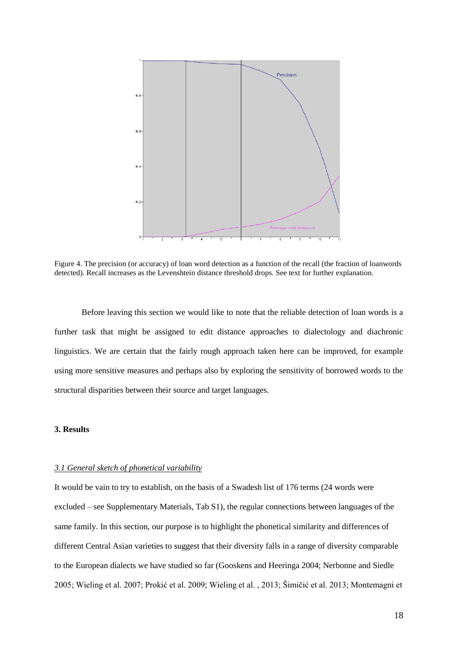

Figure 4. The precision (or accuracy) of loan word detection as a function of the recall (the fraction of loanwords detected). Recall increases as the Levenshtein distance threshold drops. See text for further explanation.

Before leaving this section we would like to note that the reliable detection of loan words is a further task that might be assigned to edit distance approaches to dialectology and diachronic linguistics. We are certain that the fairly rough approach taken here can be improved, for example using more sensitive measures and perhaps also by exploring the sensitivity of borrowed words to the structural disparities between their source and target languages.

# **3. Results**

#### *3.1 General sketch of phonetical variability*

It would be vain to try to establish, on the basis of a Swadesh list of 176 terms (24 words were excluded – see Supplementary Materials, Tab S1), the regular connections between languages of the same family. In this section, our purpose is to highlight the phonetical similarity and differences of different Central Asian varieties to suggest that their diversity falls in a range of diversity comparable to the European dialects we have studied so far (Gooskens and Heeringa 2004; Nerbonne and Siedle 2005; Wieling et al. 2007; Prokić et al. 2009; Wieling et al. , 2013; Šimičić et al. 2013; Montemagni et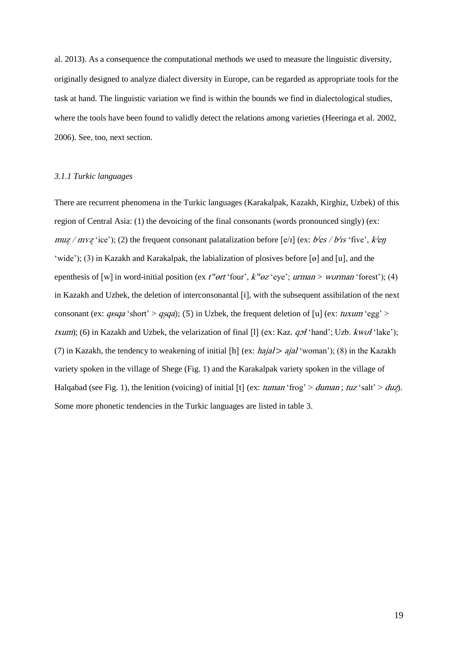al. 2013). As a consequence the computational methods we used to measure the linguistic diversity, originally designed to analyze dialect diversity in Europe, can be regarded as appropriate tools for the task at hand. The linguistic variation we find is within the bounds we find in dialectological studies, where the tools have been found to validly detect the relations among varieties (Heeringa et al. 2002, 2006). See, too, next section.

## *3.1.1 Turkic languages*

There are recurrent phenomena in the Turkic languages (Karakalpak, Kazakh, Kirghiz, Uzbek) of this region of Central Asia: (1) the devoicing of the final consonants (words pronounced singly) (ex:  $muz/myz$  'ice'); (2) the frequent consonant palatalization before [e/I] (ex:  $b$ /es / b/s 'five', k/en 'wide'); (3) in Kazakh and Karakalpak, the labialization of plosives before [o] and [u], and the epenthesis of [w] in word-initial position (ex  $t^w$ ort 'four',  $k^w$ oz 'eye'; *urman* > *wurman* 'forest'); (4) in Kazakh and Uzbek, the deletion of interconsonantal [i], with the subsequent assibilation of the next consonant (ex:  $q_{\text{1}}$  /short' >  $q_{\text{1}}$  /s) in Uzbek, the frequent deletion of [u] (ex:  $t_{\text{1}}$  /uxum 'egg' > *txum*); (6) in Kazakh and Uzbek, the velarization of final [1] (ex: Kaz.  $qof$  'hand'; Uzb.  $kwof$  'lake'); (7) in Kazakh, the tendency to weakening of initial [h] (ex:  $hajal > ajal$  'woman'); (8) in the Kazakh variety spoken in the village of Shege (Fig. 1) and the Karakalpak variety spoken in the village of Halqabad (see Fig. 1), the lenition (voicing) of initial [t] (ex: tuman 'frog' > duman; tuz 'salt' > duz). Some more phonetic tendencies in the Turkic languages are listed in table 3.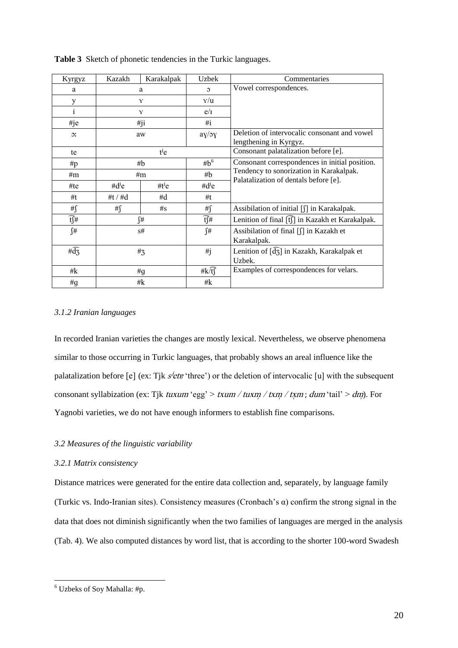| Kyrgyz                         | Kazakh                               | Karakalpak | <b>Uzbek</b>   | Commentaries                                                                     |  |
|--------------------------------|--------------------------------------|------------|----------------|----------------------------------------------------------------------------------|--|
| a                              | a                                    |            | $\mathfrak{O}$ | Vowel correspondences.                                                           |  |
| у                              |                                      | Y          |                |                                                                                  |  |
| 1                              |                                      | Y          |                |                                                                                  |  |
| #je                            |                                      | #ji        |                |                                                                                  |  |
| $\overline{C}$                 | aw                                   |            | ay/oy          | Deletion of intervocalic consonant and vowel<br>lengthening in Kyrgyz.           |  |
| te                             |                                      | $t^{j}$ e  |                | Consonant palatalization before [e].                                             |  |
| #p                             | #b                                   |            | $#b^6$         | Consonant correspondences in initial position.                                   |  |
| #m                             | #m                                   |            | #b             | Tendency to sonorization in Karakalpak.<br>Palatalization of dentals before [e]. |  |
| #te                            | # $d^{\prime}e$<br>#t <sup>j</sup> e |            | $#d^j$ e       |                                                                                  |  |
| #t                             | #t / $#d$                            | #d         | #t             |                                                                                  |  |
| # $\int$                       | # $\int$                             | $\#s$      | #ſ             | Assibilation of initial [f] in Karakalpak.                                       |  |
| $\widehat{t}$ #                | ſ#                                   |            | t∫#            | Lenition of final [t͡ʃ] in Kazakh et Karakalpak.                                 |  |
| ſ#                             | s#                                   |            | ſ#             | Assibilation of final [∬] in Kazakh et                                           |  |
|                                |                                      |            |                | Karakalpak.                                                                      |  |
| # $\widehat{d}_{\overline{3}}$ | $#_3$                                |            | #j             | Lenition of $\left[\overline{d}_{3}\right]$ in Kazakh, Karakalpak et<br>Uzbek.   |  |
| # $\mathbf k$                  | #g                                   |            | # $k\sqrt{t}$  | Examples of correspondences for velars.                                          |  |
| #g                             | #k                                   |            | #k             |                                                                                  |  |

**Table 3** Sketch of phonetic tendencies in the Turkic languages.

# *3.1.2 Iranian languages*

In recorded Iranian varieties the changes are mostly lexical. Nevertheless, we observe phenomena similar to those occurring in Turkic languages, that probably shows an areal influence like the palatalization before [e] (ex: Tjk  $s$ <sup>*jetu* 'three') or the deletion of intervocalic [u] with the subsequent</sup> consonant syllabization (ex: Tjk tuxum 'egg' > txum / tuxm / txm / txm; dum 'tail' > dm). For Yagnobi varieties, we do not have enough informers to establish fine comparisons.

# *3.2 Measures of the linguistic variability*

# *3.2.1 Matrix consistency*

Distance matrices were generated for the entire data collection and, separately, by language family (Turkic vs. Indo-Iranian sites). Consistency measures (Cronbach's α) confirm the strong signal in the data that does not diminish significantly when the two families of languages are merged in the analysis (Tab. 4). We also computed distances by word list, that is according to the shorter 100-word Swadesh

1

<sup>6</sup> Uzbeks of Soy Mahalla: #p.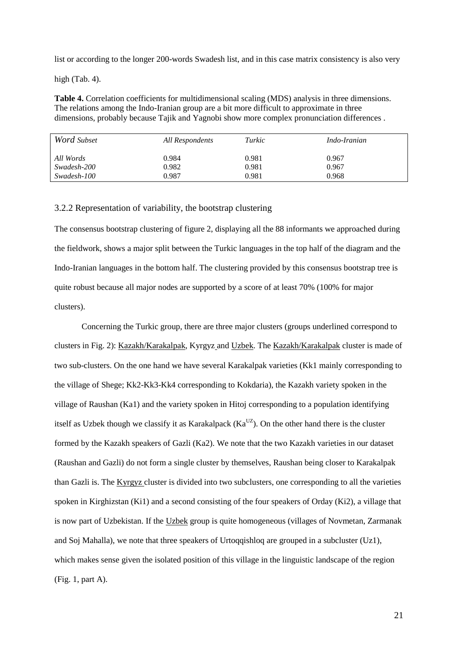list or according to the longer 200-words Swadesh list, and in this case matrix consistency is also very

high (Tab. 4).

**Table 4.** Correlation coefficients for multidimensional scaling (MDS) analysis in three dimensions. The relations among the Indo-Iranian group are a bit more difficult to approximate in three dimensions, probably because Tajik and Yagnobi show more complex pronunciation differences .

| Word Subset | All Respondents | Turkic | <i>Indo-Iranian</i> |
|-------------|-----------------|--------|---------------------|
| All Words   | 0.984           | 0.981  | 0.967               |
| Swadesh-200 | 0.982           | 0.981  | 0.967               |
| Swadesh-100 | 0.987           | 0.981  | 0.968               |

# 3.2.2 Representation of variability, the bootstrap clustering

The consensus bootstrap clustering of figure 2, displaying all the 88 informants we approached during the fieldwork, shows a major split between the Turkic languages in the top half of the diagram and the Indo-Iranian languages in the bottom half. The clustering provided by this consensus bootstrap tree is quite robust because all major nodes are supported by a score of at least 70% (100% for major clusters).

Concerning the Turkic group, there are three major clusters (groups underlined correspond to clusters in Fig. 2): Kazakh/Karakalpak, Kyrgyz and Uzbek. The Kazakh/Karakalpak cluster is made of two sub-clusters. On the one hand we have several Karakalpak varieties (Kk1 mainly corresponding to the village of Shege; Kk2-Kk3-Kk4 corresponding to Kokdaria), the Kazakh variety spoken in the village of Raushan (Ka1) and the variety spoken in Hitoj corresponding to a population identifying itself as Uzbek though we classify it as Karakalpack ( $Ka<sup>UZ</sup>$ ). On the other hand there is the cluster formed by the Kazakh speakers of Gazli (Ka2). We note that the two Kazakh varieties in our dataset (Raushan and Gazli) do not form a single cluster by themselves, Raushan being closer to Karakalpak than Gazli is. The Kyrgyz cluster is divided into two subclusters, one corresponding to all the varieties spoken in Kirghizstan (Ki1) and a second consisting of the four speakers of Orday (Ki2), a village that is now part of Uzbekistan. If the Uzbek group is quite homogeneous (villages of Novmetan, Zarmanak and Soj Mahalla), we note that three speakers of Urtoqqishloq are grouped in a subcluster (Uz1), which makes sense given the isolated position of this village in the linguistic landscape of the region (Fig. 1, part A).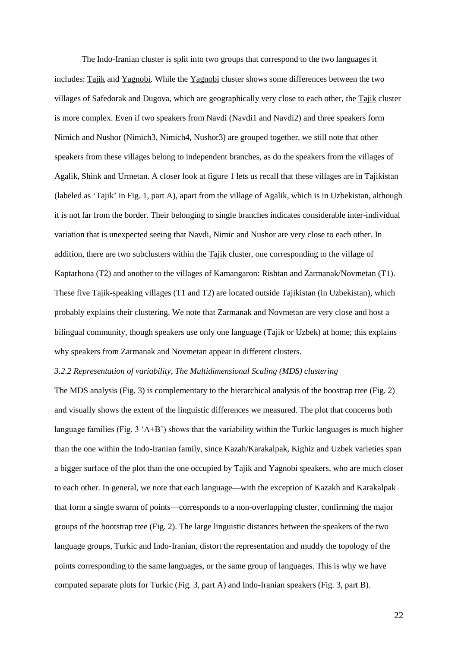The Indo-Iranian cluster is split into two groups that correspond to the two languages it includes: Tajik and Yagnobi. While the Yagnobi cluster shows some differences between the two villages of Safedorak and Dugova, which are geographically very close to each other, the Tajik cluster is more complex. Even if two speakers from Navdi (Navdi1 and Navdi2) and three speakers form Nimich and Nushor (Nimich3, Nimich4, Nushor3) are grouped together, we still note that other speakers from these villages belong to independent branches, as do the speakers from the villages of Agalik, Shink and Urmetan. A closer look at figure 1 lets us recall that these villages are in Tajikistan (labeled as 'Tajik' in Fig. 1, part A), apart from the village of Agalik, which is in Uzbekistan, although it is not far from the border. Their belonging to single branches indicates considerable inter-individual variation that is unexpected seeing that Navdi, Nimic and Nushor are very close to each other. In addition, there are two subclusters within the Tajik cluster, one corresponding to the village of Kaptarhona (T2) and another to the villages of Kamangaron: Rishtan and Zarmanak/Novmetan (T1). These five Tajik-speaking villages (T1 and T2) are located outside Tajikistan (in Uzbekistan), which probably explains their clustering. We note that Zarmanak and Novmetan are very close and host a bilingual community, though speakers use only one language (Tajik or Uzbek) at home; this explains why speakers from Zarmanak and Novmetan appear in different clusters.

# *3.2.2 Representation of variability, The Multidimensional Scaling (MDS) clustering*

The MDS analysis (Fig. 3) is complementary to the hierarchical analysis of the boostrap tree (Fig. 2) and visually shows the extent of the linguistic differences we measured. The plot that concerns both language families (Fig. 3 'A+B') shows that the variability within the Turkic languages is much higher than the one within the Indo-Iranian family, since Kazah/Karakalpak, Kighiz and Uzbek varieties span a bigger surface of the plot than the one occupied by Tajik and Yagnobi speakers, who are much closer to each other. In general, we note that each language—with the exception of Kazakh and Karakalpak that form a single swarm of points—corresponds to a non-overlapping cluster, confirming the major groups of the bootstrap tree (Fig. 2). The large linguistic distances between the speakers of the two language groups, Turkic and Indo-Iranian, distort the representation and muddy the topology of the points corresponding to the same languages, or the same group of languages. This is why we have computed separate plots for Turkic (Fig. 3, part A) and Indo-Iranian speakers (Fig. 3, part B).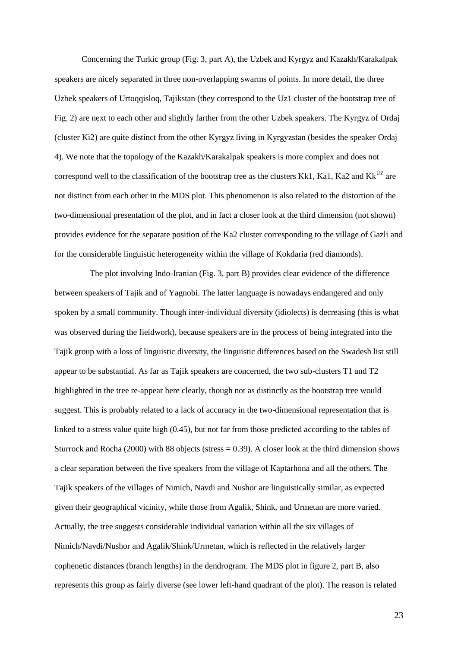Concerning the Turkic group (Fig. 3, part A), the Uzbek and Kyrgyz and Kazakh/Karakalpak speakers are nicely separated in three non-overlapping swarms of points. In more detail, the three Uzbek speakers of Urtoqqisloq, Tajikstan (they correspond to the Uz1 cluster of the bootstrap tree of Fig. 2) are next to each other and slightly farther from the other Uzbek speakers. The Kyrgyz of Ordaj (cluster Ki2) are quite distinct from the other Kyrgyz living in Kyrgyzstan (besides the speaker Ordaj 4). We note that the topology of the Kazakh/Karakalpak speakers is more complex and does not correspond well to the classification of the bootstrap tree as the clusters Kk1, Ka1, Ka2 and Kk<sup>UZ</sup> are not distinct from each other in the MDS plot. This phenomenon is also related to the distortion of the two-dimensional presentation of the plot, and in fact a closer look at the third dimension (not shown) provides evidence for the separate position of the Ka2 cluster corresponding to the village of Gazli and for the considerable linguistic heterogeneity within the village of Kokdaria (red diamonds).

The plot involving Indo-Iranian (Fig. 3, part B) provides clear evidence of the difference between speakers of Tajik and of Yagnobi. The latter language is nowadays endangered and only spoken by a small community. Though inter-individual diversity (idiolects) is decreasing (this is what was observed during the fieldwork), because speakers are in the process of being integrated into the Tajik group with a loss of linguistic diversity, the linguistic differences based on the Swadesh list still appear to be substantial. As far as Tajik speakers are concerned, the two sub-clusters T1 and T2 highlighted in the tree re-appear here clearly, though not as distinctly as the bootstrap tree would suggest. This is probably related to a lack of accuracy in the two-dimensional representation that is linked to a stress value quite high (0.45), but not far from those predicted according to the tables of Sturrock and Rocha (2000) with 88 objects (stress  $= 0.39$ ). A closer look at the third dimension shows a clear separation between the five speakers from the village of Kaptarhona and all the others. The Tajik speakers of the villages of Nimich, Navdi and Nushor are linguistically similar, as expected given their geographical vicinity, while those from Agalik, Shink, and Urmetan are more varied. Actually, the tree suggests considerable individual variation within all the six villages of Nimich/Navdi/Nushor and Agalik/Shink/Urmetan, which is reflected in the relatively larger cophenetic distances (branch lengths) in the dendrogram. The MDS plot in figure 2, part B, also represents this group as fairly diverse (see lower left-hand quadrant of the plot). The reason is related

23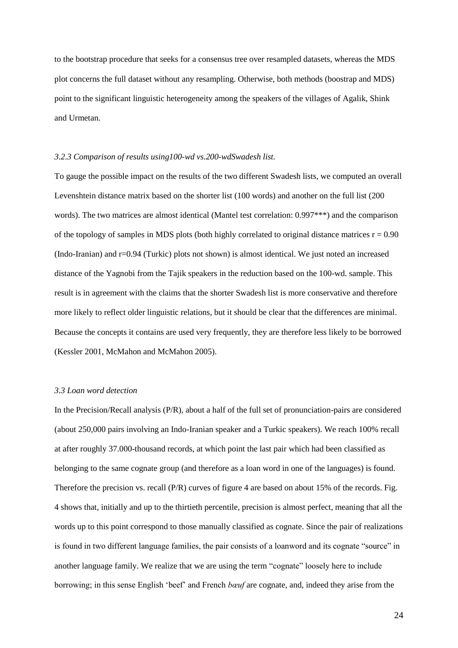to the bootstrap procedure that seeks for a consensus tree over resampled datasets, whereas the MDS plot concerns the full dataset without any resampling. Otherwise, both methods (boostrap and MDS) point to the significant linguistic heterogeneity among the speakers of the villages of Agalik, Shink and Urmetan.

# *3.2.3 Comparison of results using100-wd vs.200-wdSwadesh list.*

To gauge the possible impact on the results of the two different Swadesh lists, we computed an overall Levenshtein distance matrix based on the shorter list (100 words) and another on the full list (200 words). The two matrices are almost identical (Mantel test correlation: 0.997<sup>\*\*\*</sup>) and the comparison of the topology of samples in MDS plots (both highly correlated to original distance matrices  $r = 0.90$ ) (Indo-Iranian) and  $r=0.94$  (Turkic) plots not shown) is almost identical. We just noted an increased distance of the Yagnobi from the Tajik speakers in the reduction based on the 100-wd. sample. This result is in agreement with the claims that the shorter Swadesh list is more conservative and therefore more likely to reflect older linguistic relations, but it should be clear that the differences are minimal. Because the concepts it contains are used very frequently, they are therefore less likely to be borrowed (Kessler 2001, McMahon and McMahon 2005).

# *3.3 Loan word detection*

In the Precision/Recall analysis (P/R), about a half of the full set of pronunciation-pairs are considered (about 250,000 pairs involving an Indo-Iranian speaker and a Turkic speakers). We reach 100% recall at after roughly 37.000-thousand records, at which point the last pair which had been classified as belonging to the same cognate group (and therefore as a loan word in one of the languages) is found. Therefore the precision vs. recall (P/R) curves of figure 4 are based on about 15% of the records. Fig. 4 shows that, initially and up to the thirtieth percentile, precision is almost perfect, meaning that all the words up to this point correspond to those manually classified as cognate. Since the pair of realizations is found in two different language families, the pair consists of a loanword and its cognate "source" in another language family. We realize that we are using the term "cognate" loosely here to include borrowing; in this sense English 'beef' and French *bœuf* are cognate, and, indeed they arise from the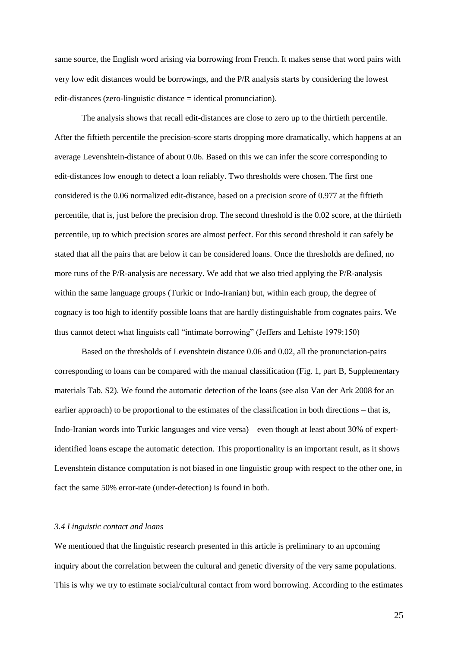same source, the English word arising via borrowing from French. It makes sense that word pairs with very low edit distances would be borrowings, and the P/R analysis starts by considering the lowest edit-distances (zero-linguistic distance = identical pronunciation).

The analysis shows that recall edit-distances are close to zero up to the thirtieth percentile. After the fiftieth percentile the precision-score starts dropping more dramatically, which happens at an average Levenshtein-distance of about 0.06. Based on this we can infer the score corresponding to edit-distances low enough to detect a loan reliably. Two thresholds were chosen. The first one considered is the 0.06 normalized edit-distance, based on a precision score of 0.977 at the fiftieth percentile, that is, just before the precision drop. The second threshold is the 0.02 score, at the thirtieth percentile, up to which precision scores are almost perfect. For this second threshold it can safely be stated that all the pairs that are below it can be considered loans. Once the thresholds are defined, no more runs of the P/R-analysis are necessary. We add that we also tried applying the P/R-analysis within the same language groups (Turkic or Indo-Iranian) but, within each group, the degree of cognacy is too high to identify possible loans that are hardly distinguishable from cognates pairs. We thus cannot detect what linguists call "intimate borrowing" (Jeffers and Lehiste 1979:150)

Based on the thresholds of Levenshtein distance 0.06 and 0.02, all the pronunciation-pairs corresponding to loans can be compared with the manual classification (Fig. 1, part B, Supplementary materials Tab. S2). We found the automatic detection of the loans (see also Van der Ark 2008 for an earlier approach) to be proportional to the estimates of the classification in both directions – that is, Indo-Iranian words into Turkic languages and vice versa) – even though at least about 30% of expertidentified loans escape the automatic detection. This proportionality is an important result, as it shows Levenshtein distance computation is not biased in one linguistic group with respect to the other one, in fact the same 50% error-rate (under-detection) is found in both.

# *3.4 Linguistic contact and loans*

We mentioned that the linguistic research presented in this article is preliminary to an upcoming inquiry about the correlation between the cultural and genetic diversity of the very same populations. This is why we try to estimate social/cultural contact from word borrowing. According to the estimates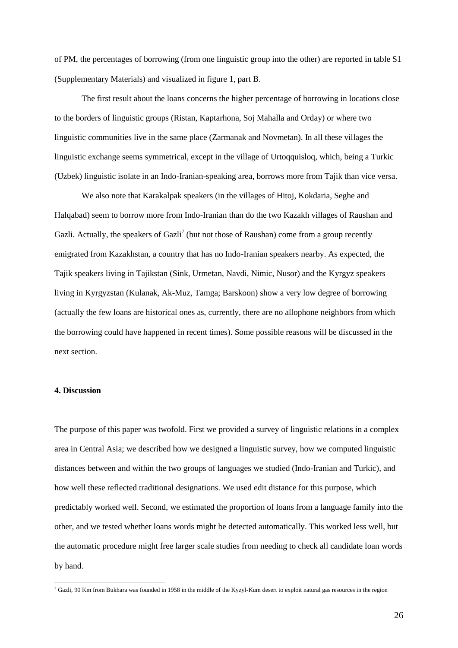of PM, the percentages of borrowing (from one linguistic group into the other) are reported in table S1 (Supplementary Materials) and visualized in figure 1, part B.

The first result about the loans concerns the higher percentage of borrowing in locations close to the borders of linguistic groups (Ristan, Kaptarhona, Soj Mahalla and Orday) or where two linguistic communities live in the same place (Zarmanak and Novmetan). In all these villages the linguistic exchange seems symmetrical, except in the village of Urtoqquisloq, which, being a Turkic (Uzbek) linguistic isolate in an Indo-Iranian-speaking area, borrows more from Tajik than vice versa.

We also note that Karakalpak speakers (in the villages of Hitoj, Kokdaria, Seghe and Halqabad) seem to borrow more from Indo-Iranian than do the two Kazakh villages of Raushan and Gazli. Actually, the speakers of Gazli<sup>7</sup> (but not those of Raushan) come from a group recently emigrated from Kazakhstan, a country that has no Indo-Iranian speakers nearby. As expected, the Tajik speakers living in Tajikstan (Sink, Urmetan, Navdi, Nimic, Nusor) and the Kyrgyz speakers living in Kyrgyzstan (Kulanak, Ak-Muz, Tamga; Barskoon) show a very low degree of borrowing (actually the few loans are historical ones as, currently, there are no allophone neighbors from which the borrowing could have happened in recent times). Some possible reasons will be discussed in the next section.

# **4. Discussion**

1

The purpose of this paper was twofold. First we provided a survey of linguistic relations in a complex area in Central Asia; we described how we designed a linguistic survey, how we computed linguistic distances between and within the two groups of languages we studied (Indo-Iranian and Turkic), and how well these reflected traditional designations. We used edit distance for this purpose, which predictably worked well. Second, we estimated the proportion of loans from a language family into the other, and we tested whether loans words might be detected automatically. This worked less well, but the automatic procedure might free larger scale studies from needing to check all candidate loan words by hand.

 $^7$  Gazli, 90 Km from Bukhara was founded in 1958 in the middle of the Kyzyl-Kum desert to exploit natural gas resources in the region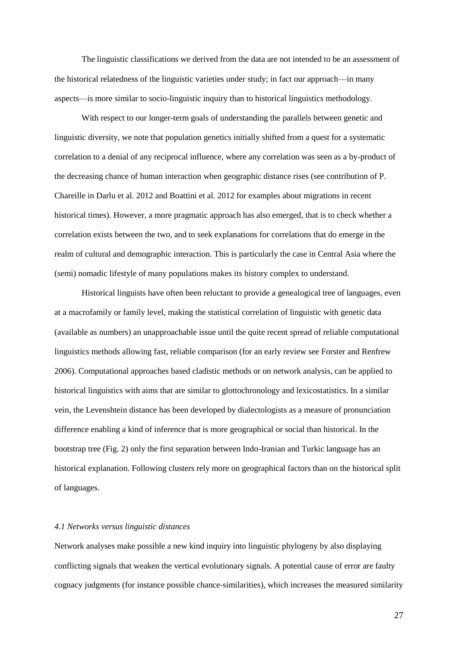The linguistic classifications we derived from the data are not intended to be an assessment of the historical relatedness of the linguistic varieties under study; in fact our approach—in many aspects—is more similar to socio-linguistic inquiry than to historical linguistics methodology.

With respect to our longer-term goals of understanding the parallels between genetic and linguistic diversity, we note that population genetics initially shifted from a quest for a systematic correlation to a denial of any reciprocal influence, where any correlation was seen as a by-product of the decreasing chance of human interaction when geographic distance rises (see contribution of P. Chareille in Darlu et al. 2012 and Boattini et al. 2012 for examples about migrations in recent historical times). However, a more pragmatic approach has also emerged, that is to check whether a correlation exists between the two, and to seek explanations for correlations that do emerge in the realm of cultural and demographic interaction. This is particularly the case in Central Asia where the (semi) nomadic lifestyle of many populations makes its history complex to understand.

Historical linguists have often been reluctant to provide a genealogical tree of languages, even at a macrofamily or family level, making the statistical correlation of linguistic with genetic data (available as numbers) an unapproachable issue until the quite recent spread of reliable computational linguistics methods allowing fast, reliable comparison (for an early review see Forster and Renfrew 2006). Computational approaches based cladistic methods or on network analysis, can be applied to historical linguistics with aims that are similar to glottochronology and lexicostatistics. In a similar vein, the Levenshtein distance has been developed by dialectologists as a measure of pronunciation difference enabling a kind of inference that is more geographical or social than historical. In the bootstrap tree (Fig. 2) only the first separation between Indo-Iranian and Turkic language has an historical explanation. Following clusters rely more on geographical factors than on the historical split of languages.

# *4.1 Networks versus linguistic distances*

Network analyses make possible a new kind inquiry into linguistic phylogeny by also displaying conflicting signals that weaken the vertical evolutionary signals. A potential cause of error are faulty cognacy judgments (for instance possible chance-similarities), which increases the measured similarity

27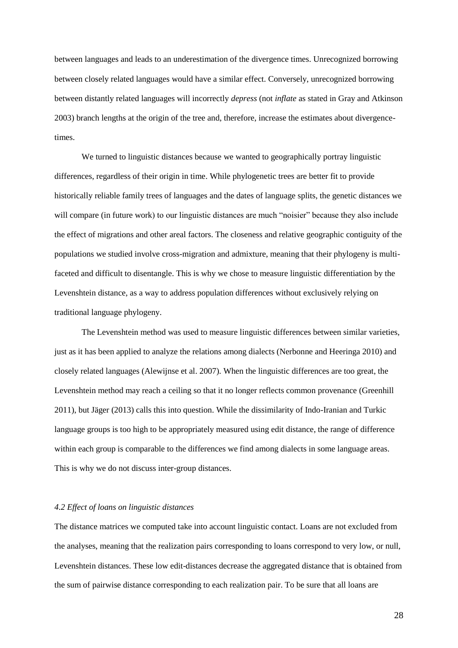between languages and leads to an underestimation of the divergence times. Unrecognized borrowing between closely related languages would have a similar effect. Conversely, unrecognized borrowing between distantly related languages will incorrectly *depress* (not *inflate* as stated in Gray and Atkinson 2003) branch lengths at the origin of the tree and, therefore, increase the estimates about divergencetimes.

We turned to linguistic distances because we wanted to geographically portray linguistic differences, regardless of their origin in time. While phylogenetic trees are better fit to provide historically reliable family trees of languages and the dates of language splits, the genetic distances we will compare (in future work) to our linguistic distances are much "noisier" because they also include the effect of migrations and other areal factors. The closeness and relative geographic contiguity of the populations we studied involve cross-migration and admixture, meaning that their phylogeny is multifaceted and difficult to disentangle. This is why we chose to measure linguistic differentiation by the Levenshtein distance, as a way to address population differences without exclusively relying on traditional language phylogeny.

The Levenshtein method was used to measure linguistic differences between similar varieties, just as it has been applied to analyze the relations among dialects (Nerbonne and Heeringa 2010) and closely related languages (Alewijnse et al. 2007). When the linguistic differences are too great, the Levenshtein method may reach a ceiling so that it no longer reflects common provenance (Greenhill 2011), but Jäger (2013) calls this into question. While the dissimilarity of Indo-Iranian and Turkic language groups is too high to be appropriately measured using edit distance, the range of difference within each group is comparable to the differences we find among dialects in some language areas. This is why we do not discuss inter-group distances.

# *4.2 Effect of loans on linguistic distances*

The distance matrices we computed take into account linguistic contact. Loans are not excluded from the analyses, meaning that the realization pairs corresponding to loans correspond to very low, or null, Levenshtein distances. These low edit-distances decrease the aggregated distance that is obtained from the sum of pairwise distance corresponding to each realization pair. To be sure that all loans are

28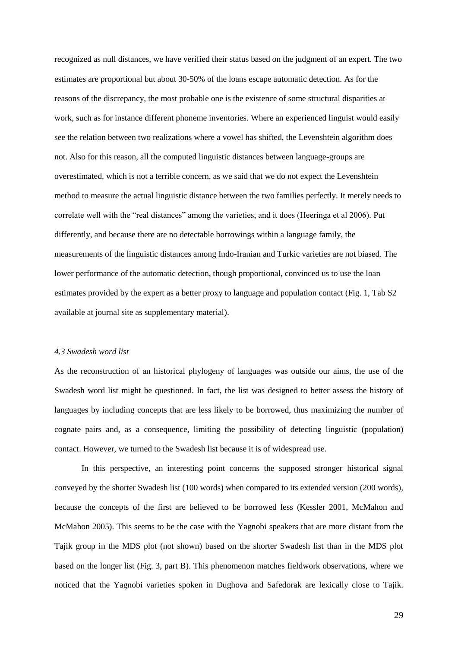recognized as null distances, we have verified their status based on the judgment of an expert. The two estimates are proportional but about 30-50% of the loans escape automatic detection. As for the reasons of the discrepancy, the most probable one is the existence of some structural disparities at work, such as for instance different phoneme inventories. Where an experienced linguist would easily see the relation between two realizations where a vowel has shifted, the Levenshtein algorithm does not. Also for this reason, all the computed linguistic distances between language-groups are overestimated, which is not a terrible concern, as we said that we do not expect the Levenshtein method to measure the actual linguistic distance between the two families perfectly. It merely needs to correlate well with the "real distances" among the varieties, and it does (Heeringa et al 2006). Put differently, and because there are no detectable borrowings within a language family, the measurements of the linguistic distances among Indo-Iranian and Turkic varieties are not biased. The lower performance of the automatic detection, though proportional, convinced us to use the loan estimates provided by the expert as a better proxy to language and population contact (Fig. 1, Tab S2 available at journal site as supplementary material).

#### *4.3 Swadesh word list*

As the reconstruction of an historical phylogeny of languages was outside our aims, the use of the Swadesh word list might be questioned. In fact, the list was designed to better assess the history of languages by including concepts that are less likely to be borrowed, thus maximizing the number of cognate pairs and, as a consequence, limiting the possibility of detecting linguistic (population) contact. However, we turned to the Swadesh list because it is of widespread use.

In this perspective, an interesting point concerns the supposed stronger historical signal conveyed by the shorter Swadesh list (100 words) when compared to its extended version (200 words), because the concepts of the first are believed to be borrowed less (Kessler 2001, McMahon and McMahon 2005). This seems to be the case with the Yagnobi speakers that are more distant from the Tajik group in the MDS plot (not shown) based on the shorter Swadesh list than in the MDS plot based on the longer list (Fig. 3, part B). This phenomenon matches fieldwork observations, where we noticed that the Yagnobi varieties spoken in Dughova and Safedorak are lexically close to Tajik.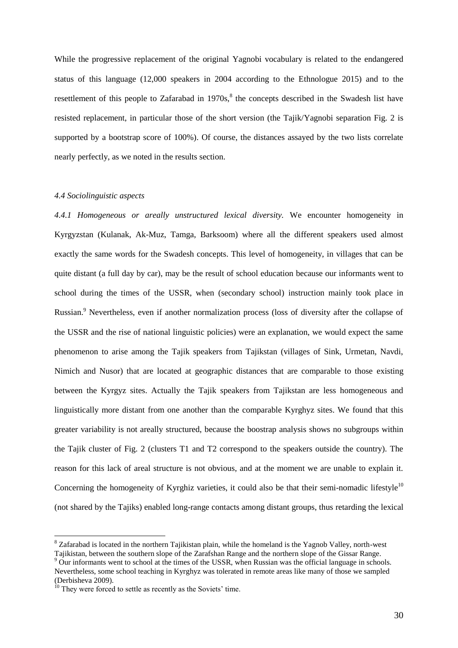While the progressive replacement of the original Yagnobi vocabulary is related to the endangered status of this language (12,000 speakers in 2004 according to the Ethnologue 2015) and to the resettlement of this people to Zafarabad in  $1970s$ ,<sup>8</sup> the concepts described in the Swadesh list have resisted replacement, in particular those of the short version (the Tajik/Yagnobi separation Fig. 2 is supported by a bootstrap score of 100%). Of course, the distances assayed by the two lists correlate nearly perfectly, as we noted in the results section.

#### *4.4 Sociolinguistic aspects*

*4.4.1 Homogeneous or areally unstructured lexical diversity.* We encounter homogeneity in Kyrgyzstan (Kulanak, Ak-Muz, Tamga, Barksoom) where all the different speakers used almost exactly the same words for the Swadesh concepts. This level of homogeneity, in villages that can be quite distant (a full day by car), may be the result of school education because our informants went to school during the times of the USSR, when (secondary school) instruction mainly took place in Russian.<sup>9</sup> Nevertheless, even if another normalization process (loss of diversity after the collapse of the USSR and the rise of national linguistic policies) were an explanation, we would expect the same phenomenon to arise among the Tajik speakers from Tajikstan (villages of Sink, Urmetan, Navdi, Nimich and Nusor) that are located at geographic distances that are comparable to those existing between the Kyrgyz sites. Actually the Tajik speakers from Tajikstan are less homogeneous and linguistically more distant from one another than the comparable Kyrghyz sites. We found that this greater variability is not areally structured, because the boostrap analysis shows no subgroups within the Tajik cluster of Fig. 2 (clusters T1 and T2 correspond to the speakers outside the country). The reason for this lack of areal structure is not obvious, and at the moment we are unable to explain it. Concerning the homogeneity of Kyrghiz varieties, it could also be that their semi-nomadic lifestyle<sup>10</sup> (not shared by the Tajiks) enabled long-range contacts among distant groups, thus retarding the lexical

<u>.</u>

<sup>&</sup>lt;sup>8</sup> Zafarabad is located in the northern Tajikistan plain, while the homeland is the Yagnob Valley, north-west Tajikistan, between the southern slope of the Zarafshan Range and the northern slope of the Gissar Range.

<sup>&</sup>lt;sup>9</sup> Our informants went to school at the times of the USSR, when Russian was the official language in schools.

Nevertheless, some school teaching in Kyrghyz was tolerated in remote areas like many of those we sampled (Derbisheva 2009).

<sup>&</sup>lt;sup>10</sup> They were forced to settle as recently as the Soviets' time.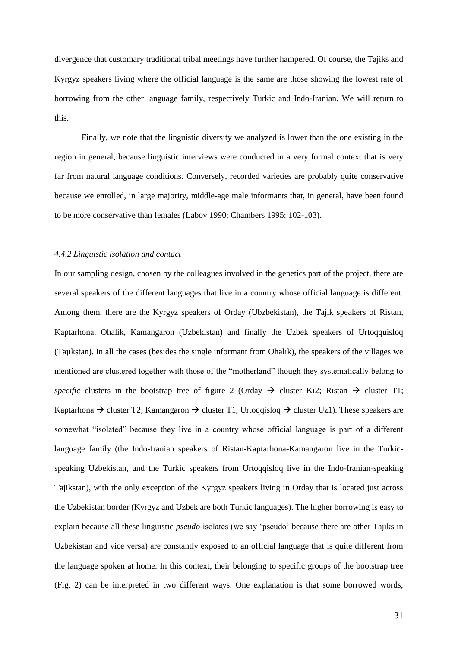divergence that customary traditional tribal meetings have further hampered. Of course, the Tajiks and Kyrgyz speakers living where the official language is the same are those showing the lowest rate of borrowing from the other language family, respectively Turkic and Indo-Iranian. We will return to this.

Finally, we note that the linguistic diversity we analyzed is lower than the one existing in the region in general, because linguistic interviews were conducted in a very formal context that is very far from natural language conditions. Conversely, recorded varieties are probably quite conservative because we enrolled, in large majority, middle-age male informants that, in general, have been found to be more conservative than females (Labov 1990; Chambers 1995: 102-103).

#### *4.4.2 Linguistic isolation and contact*

In our sampling design, chosen by the colleagues involved in the genetics part of the project, there are several speakers of the different languages that live in a country whose official language is different. Among them, there are the Kyrgyz speakers of Orday (Ubzbekistan), the Tajik speakers of Ristan, Kaptarhona, Ohalik, Kamangaron (Uzbekistan) and finally the Uzbek speakers of Urtoqquisloq (Tajikstan). In all the cases (besides the single informant from Ohalik), the speakers of the villages we mentioned are clustered together with those of the "motherland" though they systematically belong to *specific* clusters in the bootstrap tree of figure 2 (Orday  $\rightarrow$  cluster Ki2; Ristan  $\rightarrow$  cluster T1; Kaptarhona  $\rightarrow$  cluster T2; Kamangaron  $\rightarrow$  cluster T1, Urtoqqisloq  $\rightarrow$  cluster Uz1). These speakers are somewhat "isolated" because they live in a country whose official language is part of a different language family (the Indo-Iranian speakers of Ristan-Kaptarhona-Kamangaron live in the Turkicspeaking Uzbekistan, and the Turkic speakers from Urtoqqisloq live in the Indo-Iranian-speaking Tajikstan), with the only exception of the Kyrgyz speakers living in Orday that is located just across the Uzbekistan border (Kyrgyz and Uzbek are both Turkic languages). The higher borrowing is easy to explain because all these linguistic *pseudo*-isolates (we say 'pseudo' because there are other Tajiks in Uzbekistan and vice versa) are constantly exposed to an official language that is quite different from the language spoken at home. In this context, their belonging to specific groups of the bootstrap tree (Fig. 2) can be interpreted in two different ways. One explanation is that some borrowed words,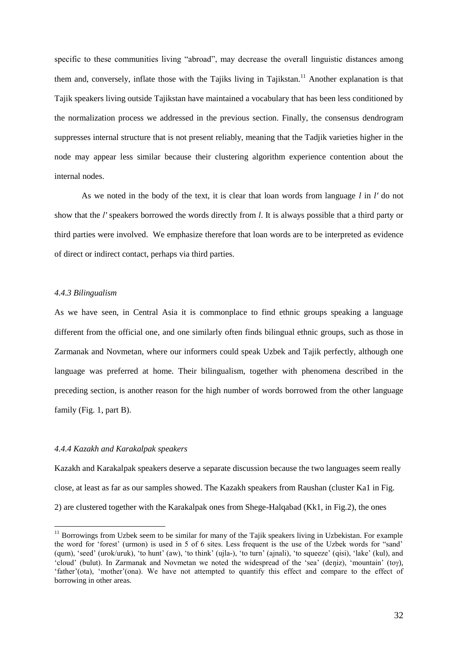specific to these communities living "abroad", may decrease the overall linguistic distances among them and, conversely, inflate those with the Tajiks living in Tajikstan.<sup>11</sup> Another explanation is that Tajik speakers living outside Tajikstan have maintained a vocabulary that has been less conditioned by the normalization process we addressed in the previous section. Finally, the consensus dendrogram suppresses internal structure that is not present reliably, meaning that the Tadjik varieties higher in the node may appear less similar because their clustering algorithm experience contention about the internal nodes.

As we noted in the body of the text, it is clear that loan words from language *l* in *l′* do not show that the *l′* speakers borrowed the words directly from *l*. It is always possible that a third party or third parties were involved. We emphasize therefore that loan words are to be interpreted as evidence of direct or indirect contact, perhaps via third parties.

# *4.4.3 Bilingualism*

1

As we have seen, in Central Asia it is commonplace to find ethnic groups speaking a language different from the official one, and one similarly often finds bilingual ethnic groups, such as those in Zarmanak and Novmetan, where our informers could speak Uzbek and Tajik perfectly, although one language was preferred at home. Their bilingualism, together with phenomena described in the preceding section, is another reason for the high number of words borrowed from the other language family (Fig. 1, part B).

#### *4.4.4 Kazakh and Karakalpak speakers*

Kazakh and Karakalpak speakers deserve a separate discussion because the two languages seem really close, at least as far as our samples showed. The Kazakh speakers from Raushan (cluster Ka1 in Fig. 2) are clustered together with the Karakalpak ones from Shege-Halqabad (Kk1, in Fig.2), the ones

 $11$  Borrowings from Uzbek seem to be similar for many of the Tajik speakers living in Uzbekistan. For example the word for 'forest' (urmon) is used in 5 of 6 sites. Less frequent is the use of the Uzbek words for "sand' (qum), 'seed' (urok/uruk), 'to hunt' (aw), 'to think' (ujla-), 'to turn' (ajnali), 'to squeeze' (qisi), 'lake' (kul), and 'cloud' (bulut). In Zarmanak and Novmetan we noted the widespread of the 'sea' (deniz), 'mountain' (toy), 'father'(ota), 'mother'(ona). We have not attempted to quantify this effect and compare to the effect of borrowing in other areas.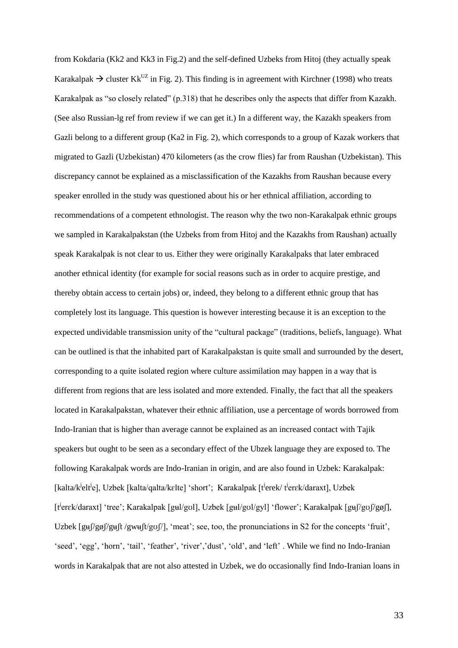from Kokdaria (Kk2 and Kk3 in Fig.2) and the self-defined Uzbeks from Hitoj (they actually speak Karakalpak  $\rightarrow$  cluster Kk<sup>UZ</sup> in Fig. 2). This finding is in agreement with Kirchner (1998) who treats Karakalpak as "so closely related" (p.318) that he describes only the aspects that differ from Kazakh. (See also Russian-lg ref from review if we can get it.) In a different way, the Kazakh speakers from Gazli belong to a different group (Ka2 in Fig. 2), which corresponds to a group of Kazak workers that migrated to Gazli (Uzbekistan) 470 kilometers (as the crow flies) far from Raushan (Uzbekistan). This discrepancy cannot be explained as a misclassification of the Kazakhs from Raushan because every speaker enrolled in the study was questioned about his or her ethnical affiliation, according to recommendations of a competent ethnologist. The reason why the two non-Karakalpak ethnic groups we sampled in Karakalpakstan (the Uzbeks from from Hitoj and the Kazakhs from Raushan) actually speak Karakalpak is not clear to us. Either they were originally Karakalpaks that later embraced another ethnical identity (for example for social reasons such as in order to acquire prestige, and thereby obtain access to certain jobs) or, indeed, they belong to a different ethnic group that has completely lost its language. This question is however interesting because it is an exception to the expected undividable transmission unity of the "cultural package" (traditions, beliefs, language). What can be outlined is that the inhabited part of Karakalpakstan is quite small and surrounded by the desert, corresponding to a quite isolated region where culture assimilation may happen in a way that is different from regions that are less isolated and more extended. Finally, the fact that all the speakers located in Karakalpakstan, whatever their ethnic affiliation, use a percentage of words borrowed from Indo-Iranian that is higher than average cannot be explained as an increased contact with Tajik speakers but ought to be seen as a secondary effect of the Ubzek language they are exposed to. The following Karakalpak words are Indo-Iranian in origin, and are also found in Uzbek: Karakalpak: [kalta/k<sup>i</sup>elt<sup>i</sup>e], Uzbek [kalta/qalta/kɛlte] 'short'; Karakalpak [t<sup>i</sup>erek/t<sup>i</sup>erɛk/daraxt], Uzbek [t<sup>j</sup>erɛk/daraxt] 'tree'; Karakalpak [gʉl/gʊl], Uzbek [gʉl/gʊl/gyl] 'flower'; Karakalpak [gʉʃ/gʊʃ/gøʃ], Uzbek  $\left[\frac{g_{\theta}}{g_{\theta}}\right]$  /gw $\left[\frac{f_{\theta}}{g_{\theta}}\right]$  /gw $\left[\frac{f_{\theta}}{g_{\theta}}\right]$ , 'meat'; see, too, the pronunciations in S2 for the concepts 'fruit', 'seed', 'egg', 'horn', 'tail', 'feather', 'river','dust', 'old', and 'left' . While we find no Indo-Iranian words in Karakalpak that are not also attested in Uzbek, we do occasionally find Indo-Iranian loans in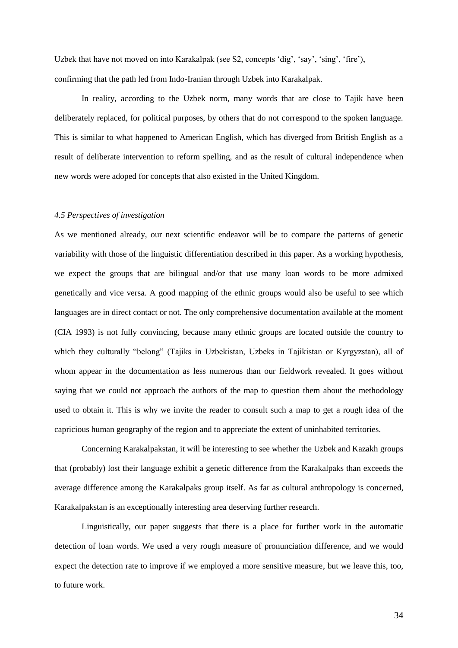Uzbek that have not moved on into Karakalpak (see S2, concepts 'dig', 'say', 'sing', 'fire'), confirming that the path led from Indo-Iranian through Uzbek into Karakalpak.

In reality, according to the Uzbek norm, many words that are close to Tajik have been deliberately replaced, for political purposes, by others that do not correspond to the spoken language. This is similar to what happened to American English, which has diverged from British English as a result of deliberate intervention to reform spelling, and as the result of cultural independence when new words were adoped for concepts that also existed in the United Kingdom.

# *4.5 Perspectives of investigation*

As we mentioned already, our next scientific endeavor will be to compare the patterns of genetic variability with those of the linguistic differentiation described in this paper. As a working hypothesis, we expect the groups that are bilingual and/or that use many loan words to be more admixed genetically and vice versa. A good mapping of the ethnic groups would also be useful to see which languages are in direct contact or not. The only comprehensive documentation available at the moment (CIA 1993) is not fully convincing, because many ethnic groups are located outside the country to which they culturally "belong" (Tajiks in Uzbekistan, Uzbeks in Tajikistan or Kyrgyzstan), all of whom appear in the documentation as less numerous than our fieldwork revealed. It goes without saying that we could not approach the authors of the map to question them about the methodology used to obtain it. This is why we invite the reader to consult such a map to get a rough idea of the capricious human geography of the region and to appreciate the extent of uninhabited territories.

Concerning Karakalpakstan, it will be interesting to see whether the Uzbek and Kazakh groups that (probably) lost their language exhibit a genetic difference from the Karakalpaks than exceeds the average difference among the Karakalpaks group itself. As far as cultural anthropology is concerned, Karakalpakstan is an exceptionally interesting area deserving further research.

Linguistically, our paper suggests that there is a place for further work in the automatic detection of loan words. We used a very rough measure of pronunciation difference, and we would expect the detection rate to improve if we employed a more sensitive measure, but we leave this, too, to future work.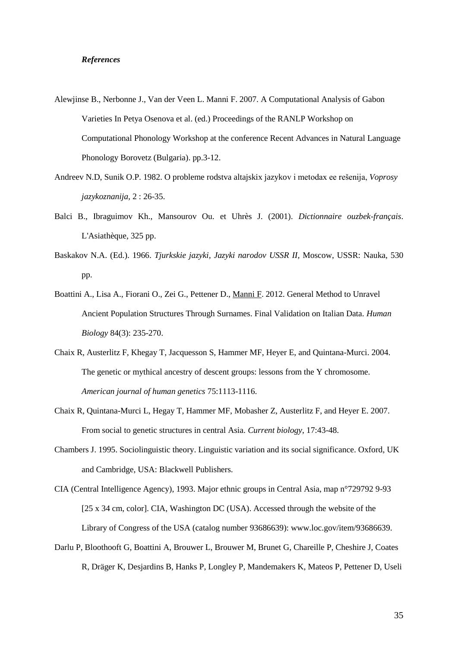## *References*

- Alewjinse B., Nerbonne J., Van der Veen L. Manni F. 2007. A Computational Analysis of Gabon Varieties In Petya Osenova et al. (ed.) Proceedings of the RANLP Workshop on Computational Phonology Workshop at the conference Recent Advances in Natural Language Phonology Borovetz (Bulgaria). pp.3-12.
- Andreev N.D, Sunik O.P. 1982. O probleme rodstva altajskix jazykov i metodax ee rešenija, *Voprosy jazykoznanija,* 2 : 26-35.
- Balci B., Ibraguimov Kh., Mansourov Ou. et Uhrès J. (2001). *Dictionnaire ouzbek-français*. L'Asiathèque, 325 pp.
- Baskakov N.A. (Ed.). 1966. *Tjurkskie jazyki, Jazyki narodov USSR II,* Moscow, USSR: Nauka, 530 pp.
- Boattini A., Lisa A., Fiorani O., Zei G., Pettener D., Manni F. 2012. General Method to Unravel Ancient Population Structures Through Surnames. Final Validation on Italian Data. *Human Biology* 84(3): 235-270.
- Chaix R, Austerlitz F, Khegay T, Jacquesson S, Hammer MF, Heyer E, and Quintana-Murci. 2004. The genetic or mythical ancestry of descent groups: lessons from the Y chromosome. *American journal of human genetics* 75:1113-1116.
- Chaix R, Quintana-Murci L, Hegay T, Hammer MF, Mobasher Z, Austerlitz F, and Heyer E. 2007. From social to genetic structures in central Asia. *Current biology*, 17:43-48.
- Chambers J. 1995. Sociolinguistic theory. Linguistic variation and its social significance. Oxford, UK and Cambridge, USA: Blackwell Publishers.

CIA (Central Intelligence Agency), 1993. Major ethnic groups in Central Asia, map n°729792 9-93 [25 x 34 cm, color]. CIA, Washington DC (USA). Accessed through the website of the Library of Congress of the USA (catalog number 93686639): www.loc.gov/item/93686639.

Darlu P, Bloothooft G, Boattini A, Brouwer L, Brouwer M, Brunet G, Chareille P, Cheshire J, Coates R, Dräger K, Desjardins B, Hanks P, Longley P, Mandemakers K, Mateos P, Pettener D, Useli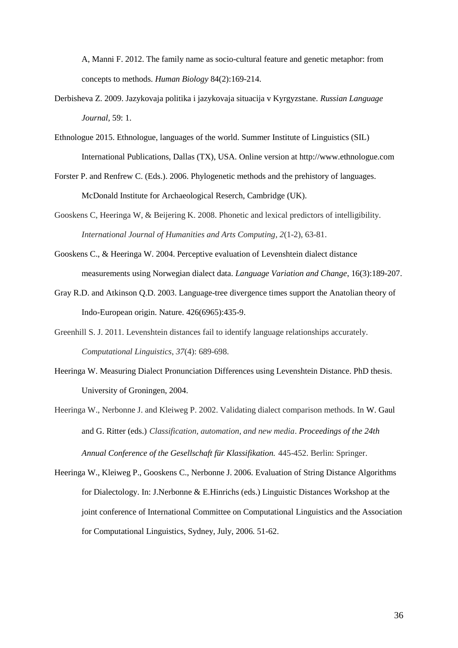A, Manni F. 2012. The family name as socio-cultural feature and genetic metaphor: from concepts to methods. *Human Biology* 84(2):169-214.

- Derbisheva Z. 2009. Jazykovaja politika i jazykovaja situacija v Kyrgyzstane. *Russian Language Journal,* 59: 1.
- Ethnologue 2015. Ethnologue, languages of the world. Summer Institute of Linguistics (SIL) International Publications, Dallas (TX), USA. Online version at http://www.ethnologue.com
- Forster P. and Renfrew C. (Eds.). 2006. Phylogenetic methods and the prehistory of languages. McDonald Institute for Archaeological Reserch, Cambridge (UK).
- Gooskens C, Heeringa W, & Beijering K. 2008. Phonetic and lexical predictors of intelligibility. *International Journal of Humanities and Arts Computing*, *2*(1-2), 63-81.
- Gooskens C., & Heeringa W. 2004. Perceptive evaluation of Levenshtein dialect distance measurements using Norwegian dialect data. *Language Variation and Change*, 16(3):189-207.
- Gray R.D. and Atkinson Q.D. 2003. Language-tree divergence times support the Anatolian theory of Indo-European origin. Nature. 426(6965):435-9.
- Greenhill S. J. 2011. Levenshtein distances fail to identify language relationships accurately. *Computational Linguistics*, *37*(4): 689-698.
- Heeringa W. Measuring Dialect Pronunciation Differences using Levenshtein Distance. PhD thesis. University of Groningen, 2004.
- Heeringa W., Nerbonne J. and Kleiweg P. 2002. Validating dialect comparison methods. In W. Gaul and G. Ritter (eds.) *Classification, automation, and new media*. *Proceedings of the 24th Annual Conference of the Gesellschaft für Klassifikation.* 445-452. Berlin: Springer.
- Heeringa W., Kleiweg P., Gooskens C., Nerbonne J. 2006. Evaluation of String Distance Algorithms for Dialectology. In: J.Nerbonne & E.Hinrichs (eds.) Linguistic Distances Workshop at the joint conference of International Committee on Computational Linguistics and the Association for Computational Linguistics, Sydney, July, 2006. 51-62.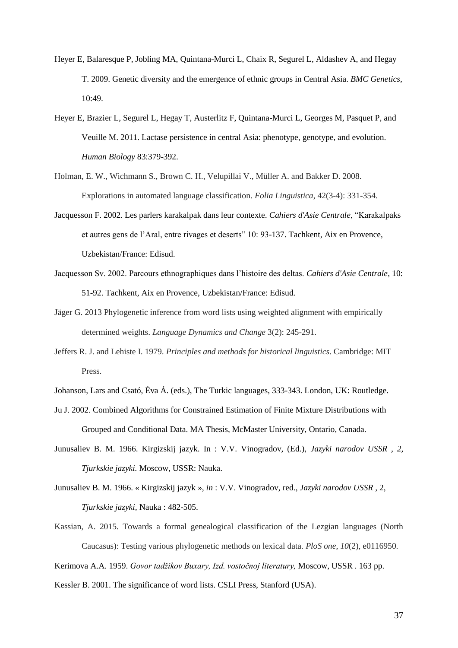- Heyer E, Balaresque P, Jobling MA, Quintana-Murci L, Chaix R, Segurel L, Aldashev A, and Hegay T. 2009. Genetic diversity and the emergence of ethnic groups in Central Asia. *BMC Genetics,* 10:49.
- Heyer E, Brazier L, Segurel L, Hegay T, Austerlitz F, Quintana-Murci L, Georges M, Pasquet P, and Veuille M. 2011. Lactase persistence in central Asia: phenotype, genotype, and evolution. *Human Biology* 83:379-392.
- Holman, E. W., Wichmann S., Brown C. H., Velupillai V., Müller A. and Bakker D. 2008. Explorations in automated language classification. *Folia Linguistica*, 42(3-4): 331-354.
- Jacquesson F. 2002. Les parlers karakalpak dans leur contexte. *Cahiers d'Asie Centrale*, "Karakalpaks et autres gens de l'Aral, entre rivages et deserts" 10: 93-137. Tachkent, Aix en Provence, Uzbekistan/France: Edisud.
- Jacquesson Sv. 2002. Parcours ethnographiques dans l'histoire des deltas. *Cahiers d'Asie Centrale*, 10: 51-92. Tachkent, Aix en Provence, Uzbekistan/France: Edisud.
- Jäger G. 2013 Phylogenetic inference from word lists using weighted alignment with empirically determined weights. *Language Dynamics and Change* 3(2): 245-291.
- Jeffers R. J. and Lehiste I. 1979. *Principles and methods for historical linguistics*. Cambridge: MIT Press.
- Johanson, Lars and Csató, Éva Á. (eds.), The Turkic languages, 333-343. London, UK: Routledge.
- Ju J. 2002. Combined Algorithms for Constrained Estimation of Finite Mixture Distributions with Grouped and Conditional Data. MA Thesis, McMaster University, Ontario, Canada.
- Junusaliev B. M. 1966. Kirgizskij jazyk. In : V.V. Vinogradov, (Ed.), *Jazyki narodov USSR , 2, Tjurkskie jazyki.* Moscow, USSR: Nauka.
- Junusaliev B. M. 1966. « Kirgizskij jazyk », *in* : V.V. Vinogradov, red., *Jazyki narodov USSR ,* 2, *Tjurkskie jazyki,* Nauka : 482-505.
- Kassian, A. 2015. Towards a formal genealogical classification of the Lezgian languages (North Caucasus): Testing various phylogenetic methods on lexical data. *PloS one*, *10*(2), e0116950.

Kerimova A.A. 1959. *Govor tadžikov Buxary, Izd. vostočnoj literatury,* Moscow, USSR . 163 pp.

Kessler B. 2001. The significance of word lists. CSLI Press, Stanford (USA).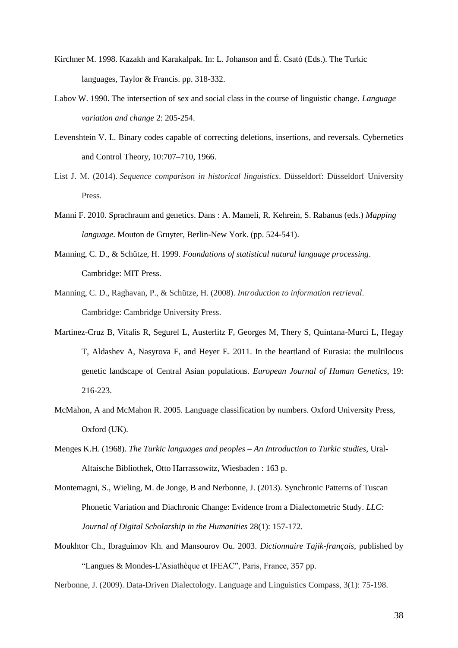- Kirchner M. 1998. Kazakh and Karakalpak. In: L. Johanson and É. Csató (Eds.). The Turkic languages, Taylor & Francis. pp. 318-332.
- Labov W. 1990. The intersection of sex and social class in the course of linguistic change. *Language variation and change* 2: 205-254.
- Levenshtein V. I.. Binary codes capable of correcting deletions, insertions, and reversals. Cybernetics and Control Theory, 10:707–710, 1966.
- List J. M. (2014). *Sequence comparison in historical linguistics*. Düsseldorf: Düsseldorf University Press.
- Manni F. 2010. Sprachraum and genetics. Dans : A. Mameli, R. Kehrein, S. Rabanus (eds.) *Mapping language*. Mouton de Gruyter, Berlin-New York. (pp. 524-541).
- Manning, C. D., & Schütze, H. 1999. *Foundations of statistical natural language processing*. Cambridge: MIT Press.
- Manning, C. D., Raghavan, P., & Schütze, H. (2008). *Introduction to information retrieval*. Cambridge: Cambridge University Press.
- Martinez-Cruz B, Vitalis R, Segurel L, Austerlitz F, Georges M, Thery S, Quintana-Murci L, Hegay T, Aldashev A, Nasyrova F, and Heyer E. 2011. In the heartland of Eurasia: the multilocus genetic landscape of Central Asian populations. *European Journal of Human Genetics*, 19: 216-223.
- McMahon, A and McMahon R. 2005. Language classification by numbers. Oxford University Press, Oxford (UK).
- Menges K.H. (1968). *The Turkic languages and peoples – An Introduction to Turkic studies,* Ural-Altaische Bibliothek, Otto Harrassowitz, Wiesbaden : 163 p.
- Montemagni, S., Wieling, M. de Jonge, B and Nerbonne, J. (2013). Synchronic Patterns of Tuscan Phonetic Variation and Diachronic Change: Evidence from a Dialectometric Study. *LLC: Journal of Digital Scholarship in the Humanities* 28(1): 157-172.
- Moukhtor Ch., Ibraguimov Kh. and Mansourov Ou. 2003. *Dictionnaire Tajik-français,* published by "Langues & Mondes-L'Asiathèque et IFEAC", Paris, France, 357 pp.

Nerbonne, J. (2009). Data-Driven Dialectology. Language and Linguistics Compass, 3(1): 75-198.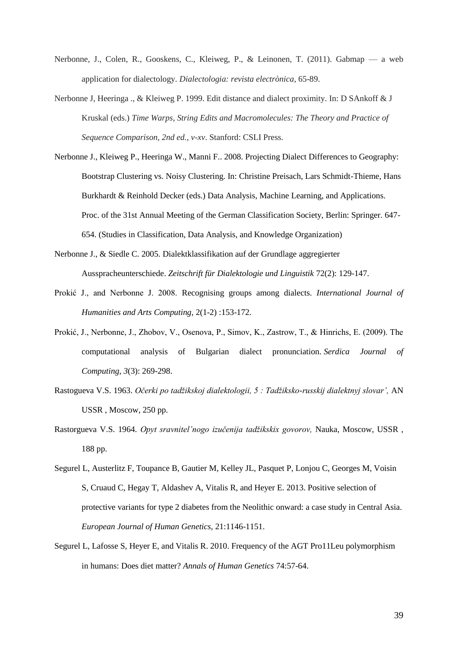- Nerbonne, J., Colen, R., Gooskens, C., Kleiweg, P., & Leinonen, T. (2011). Gabmap a web application for dialectology. *Dialectologia: revista electrònica*, 65-89.
- Nerbonne J, Heeringa ., & Kleiweg P. 1999. Edit distance and dialect proximity. In: D SAnkoff & J Kruskal (eds.) *Time Warps, String Edits and Macromolecules: The Theory and Practice of Sequence Comparison, 2nd ed., v-xv*. Stanford: CSLI Press.
- Nerbonne J., Kleiweg P., Heeringa W., Manni F.. 2008. Projecting Dialect Differences to Geography: Bootstrap Clustering vs. Noisy Clustering. In: Christine Preisach, Lars Schmidt-Thieme, Hans Burkhardt & Reinhold Decker (eds.) Data Analysis, Machine Learning, and Applications. Proc. of the 31st Annual Meeting of the German Classification Society, Berlin: Springer. 647- 654. (Studies in Classification, Data Analysis, and Knowledge Organization)
- Nerbonne J., & Siedle C. 2005. Dialektklassifikation auf der Grundlage aggregierter Ausspracheunterschiede. *Zeitschrift für Dialektologie und Linguistik* 72(2): 129-147.
- Prokić J., and Nerbonne J. 2008. Recognising groups among dialects. *International Journal of Humanities and Arts Computing*, 2(1-2) :153-172.
- Prokić, J., Nerbonne, J., Zhobov, V., Osenova, P., Simov, K., Zastrow, T., & Hinrichs, E. (2009). The computational analysis of Bulgarian dialect pronunciation. *Serdica Journal of Computing*, *3*(3): 269-298.
- Rastogueva V.S. 1963. *Očerki po tadžikskoj dialektologii, 5 : Tadžiksko-russkij dialektnyj slovar',* AN USSR , Moscow, 250 pp.
- Rastorgueva V.S. 1964. *Opyt sravnitel'nogo izučenija tadžikskix govorov,* Nauka, Moscow, USSR , 188 pp.
- Segurel L, Austerlitz F, Toupance B, Gautier M, Kelley JL, Pasquet P, Lonjou C, Georges M, Voisin S, Cruaud C, Hegay T, Aldashev A, Vitalis R, and Heyer E. 2013. Positive selection of protective variants for type 2 diabetes from the Neolithic onward: a case study in Central Asia. *European Journal of Human Genetics,* 21:1146-1151.
- Segurel L, Lafosse S, Heyer E, and Vitalis R. 2010. Frequency of the AGT Pro11Leu polymorphism in humans: Does diet matter? *Annals of Human Genetics* 74:57-64.